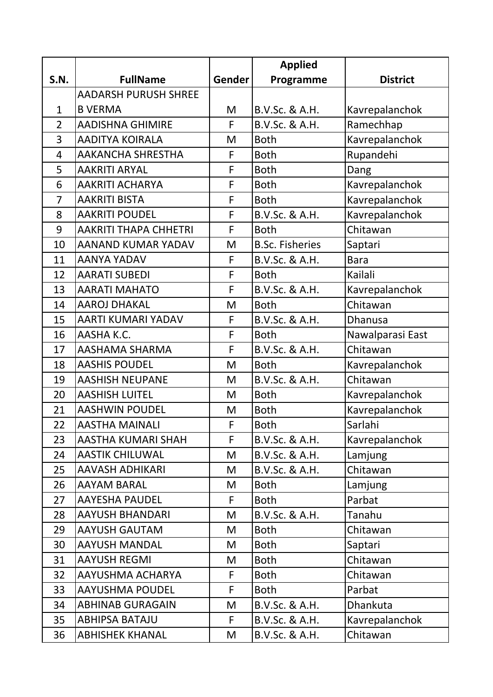|                |                              |        | <b>Applied</b>         |                  |
|----------------|------------------------------|--------|------------------------|------------------|
| <b>S.N.</b>    | <b>FullName</b>              | Gender | Programme              | <b>District</b>  |
|                | <b>AADARSH PURUSH SHREE</b>  |        |                        |                  |
| $\mathbf 1$    | <b>B VERMA</b>               | M      | B.V.Sc. & A.H.         | Kavrepalanchok   |
| $\overline{2}$ | <b>AADISHNA GHIMIRE</b>      | F      | B.V.Sc. & A.H.         | Ramechhap        |
| 3              | <b>AADITYA KOIRALA</b>       | M      | <b>Both</b>            | Kavrepalanchok   |
| $\overline{4}$ | <b>AAKANCHA SHRESTHA</b>     | F      | <b>Both</b>            | Rupandehi        |
| 5              | <b>AAKRITI ARYAL</b>         | F      | <b>Both</b>            | Dang             |
| 6              | <b>AAKRITI ACHARYA</b>       | F      | <b>Both</b>            | Kavrepalanchok   |
| $\overline{7}$ | <b>AAKRITI BISTA</b>         | F      | <b>Both</b>            | Kavrepalanchok   |
| 8              | <b>AAKRITI POUDEL</b>        | F      | B.V.Sc. & A.H.         | Kavrepalanchok   |
| 9              | <b>AAKRITI THAPA CHHETRI</b> | F      | <b>Both</b>            | Chitawan         |
| 10             | <b>AANAND KUMAR YADAV</b>    | M      | <b>B.Sc. Fisheries</b> | Saptari          |
| 11             | <b>AANYA YADAV</b>           | F      | B.V.Sc. & A.H.         | <b>Bara</b>      |
| 12             | <b>AARATI SUBEDI</b>         | F      | <b>Both</b>            | Kailali          |
| 13             | <b>AARATI MAHATO</b>         | F      | B.V.Sc. & A.H.         | Kavrepalanchok   |
| 14             | <b>AAROJ DHAKAL</b>          | M      | <b>Both</b>            | Chitawan         |
| 15             | AARTI KUMARI YADAV           | F      | B.V.Sc. & A.H.         | <b>Dhanusa</b>   |
| 16             | AASHA K.C.                   | F      | <b>Both</b>            | Nawalparasi East |
| 17             | AASHAMA SHARMA               | F      | B.V.Sc. & A.H.         | Chitawan         |
| 18             | <b>AASHIS POUDEL</b>         | M      | <b>Both</b>            | Kavrepalanchok   |
| 19             | <b>AASHISH NEUPANE</b>       | M      | B.V.Sc. & A.H.         | Chitawan         |
| 20             | <b>AASHISH LUITEL</b>        | M      | <b>Both</b>            | Kavrepalanchok   |
| 21             | <b>AASHWIN POUDEL</b>        | M      | <b>Both</b>            | Kavrepalanchok   |
| 22             | AASTHA MAINALI               | F      | <b>Both</b>            | Sarlahi          |
| 23             | AASTHA KUMARI SHAH           | F      | B.V.Sc. & A.H.         | Kavrepalanchok   |
| 24             | <b>AASTIK CHILUWAL</b>       | M      | B.V.Sc. & A.H.         | Lamjung          |
| 25             | <b>AAVASH ADHIKARI</b>       | M      | B.V.Sc. & A.H.         | Chitawan         |
| 26             | <b>AAYAM BARAL</b>           | M      | <b>Both</b>            | Lamjung          |
| 27             | <b>AAYESHA PAUDEL</b>        | F      | <b>Both</b>            | Parbat           |
| 28             | <b>AAYUSH BHANDARI</b>       | M      | B.V.Sc. & A.H.         | Tanahu           |
| 29             | <b>AAYUSH GAUTAM</b>         | M      | <b>Both</b>            | Chitawan         |
| 30             | <b>AAYUSH MANDAL</b>         | M      | <b>Both</b>            | Saptari          |
| 31             | <b>AAYUSH REGMI</b>          | M      | <b>Both</b>            | Chitawan         |
| 32             | AAYUSHMA ACHARYA             | F      | <b>Both</b>            | Chitawan         |
| 33             | <b>AAYUSHMA POUDEL</b>       | F      | <b>Both</b>            | Parbat           |
| 34             | <b>ABHINAB GURAGAIN</b>      | M      | B.V.Sc. & A.H.         | <b>Dhankuta</b>  |
| 35             | <b>ABHIPSA BATAJU</b>        | F      | B.V.Sc. & A.H.         | Kavrepalanchok   |
| 36             | <b>ABHISHEK KHANAL</b>       | M      | B.V.Sc. & A.H.         | Chitawan         |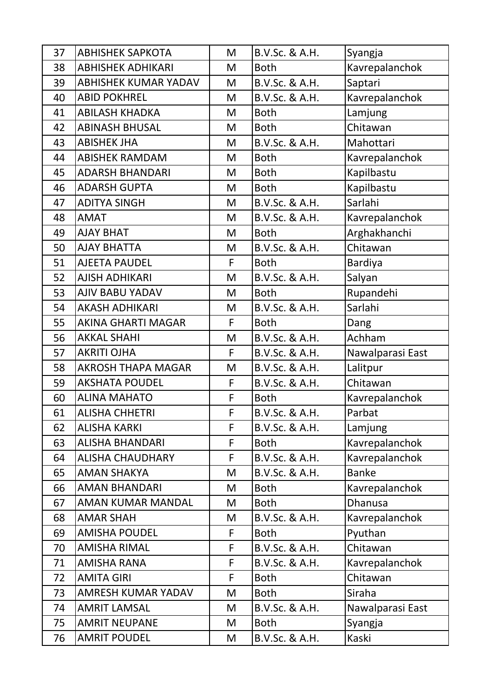| 37 | <b>ABHISHEK SAPKOTA</b>     | M           | B.V.Sc. & A.H. | Syangja          |
|----|-----------------------------|-------------|----------------|------------------|
| 38 | <b>ABHISHEK ADHIKARI</b>    | M           | <b>Both</b>    | Kavrepalanchok   |
| 39 | <b>ABHISHEK KUMAR YADAV</b> | M           | B.V.Sc. & A.H. | Saptari          |
| 40 | <b>ABID POKHREL</b>         | M           | B.V.Sc. & A.H. | Kavrepalanchok   |
| 41 | <b>ABILASH KHADKA</b>       | M           | <b>Both</b>    | Lamjung          |
| 42 | <b>ABINASH BHUSAL</b>       | M           | <b>Both</b>    | Chitawan         |
| 43 | <b>ABISHEK JHA</b>          | M           | B.V.Sc. & A.H. | Mahottari        |
| 44 | <b>ABISHEK RAMDAM</b>       | M           | <b>Both</b>    | Kavrepalanchok   |
| 45 | <b>ADARSH BHANDARI</b>      | M           | <b>Both</b>    | Kapilbastu       |
| 46 | <b>ADARSH GUPTA</b>         | M           | <b>Both</b>    | Kapilbastu       |
| 47 | <b>ADITYA SINGH</b>         | M           | B.V.Sc. & A.H. | Sarlahi          |
| 48 | <b>AMAT</b>                 | M           | B.V.Sc. & A.H. | Kavrepalanchok   |
| 49 | <b>AJAY BHAT</b>            | M           | <b>Both</b>    | Arghakhanchi     |
| 50 | <b>AJAY BHATTA</b>          | M           | B.V.Sc. & A.H. | Chitawan         |
| 51 | <b>AJEETA PAUDEL</b>        | F           | <b>Both</b>    | <b>Bardiya</b>   |
| 52 | <b>AJISH ADHIKARI</b>       | M           | B.V.Sc. & A.H. | Salyan           |
| 53 | <b>AJIV BABU YADAV</b>      | M           | <b>Both</b>    | Rupandehi        |
| 54 | <b>AKASH ADHIKARI</b>       | M           | B.V.Sc. & A.H. | Sarlahi          |
| 55 | <b>AKINA GHARTI MAGAR</b>   | F           | <b>Both</b>    | Dang             |
| 56 | <b>AKKAL SHAHI</b>          | M           | B.V.Sc. & A.H. | Achham           |
| 57 | <b>AKRITI OJHA</b>          | F           | B.V.Sc. & A.H. | Nawalparasi East |
| 58 | <b>AKROSH THAPA MAGAR</b>   | M           | B.V.Sc. & A.H. | Lalitpur         |
| 59 | <b>AKSHATA POUDEL</b>       | F           | B.V.Sc. & A.H. | Chitawan         |
| 60 | <b>ALINA MAHATO</b>         | F           | <b>Both</b>    | Kavrepalanchok   |
| 61 | <b>ALISHA CHHETRI</b>       |             | B.V.Sc. & A.H. | Parbat           |
| 62 | <b>ALISHA KARKI</b>         | F           | B.V.Sc. & A.H. | Lamjung          |
| 63 | <b>ALISHA BHANDARI</b>      | F           | <b>Both</b>    | Kavrepalanchok   |
| 64 | <b>ALISHA CHAUDHARY</b>     | F           | B.V.Sc. & A.H. | Kavrepalanchok   |
| 65 | <b>AMAN SHAKYA</b>          | M           | B.V.Sc. & A.H. | <b>Banke</b>     |
| 66 | <b>AMAN BHANDARI</b>        | M           | <b>Both</b>    | Kavrepalanchok   |
| 67 | AMAN KUMAR MANDAL           | M           | <b>Both</b>    | Dhanusa          |
| 68 | <b>AMAR SHAH</b>            | M           | B.V.Sc. & A.H. | Kavrepalanchok   |
| 69 | <b>AMISHA POUDEL</b>        | F           | <b>Both</b>    | Pyuthan          |
| 70 | <b>AMISHA RIMAL</b>         | F           | B.V.Sc. & A.H. | Chitawan         |
| 71 | <b>AMISHA RANA</b>          | $\mathsf F$ | B.V.Sc. & A.H. | Kavrepalanchok   |
| 72 | <b>AMITA GIRI</b>           | F           | <b>Both</b>    | Chitawan         |
| 73 | <b>AMRESH KUMAR YADAV</b>   | M           | <b>Both</b>    | Siraha           |
| 74 | <b>AMRIT LAMSAL</b>         | M           | B.V.Sc. & A.H. | Nawalparasi East |
| 75 | <b>AMRIT NEUPANE</b>        | M           | <b>Both</b>    | Syangja          |
| 76 | <b>AMRIT POUDEL</b>         | M           | B.V.Sc. & A.H. | Kaski            |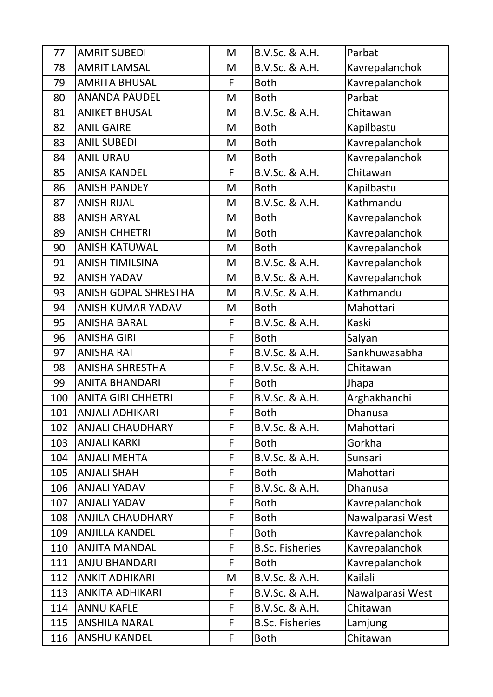| 77  | <b>AMRIT SUBEDI</b>         | M | B.V.Sc. & A.H.         | Parbat           |
|-----|-----------------------------|---|------------------------|------------------|
| 78  | <b>AMRIT LAMSAL</b>         | M | B.V.Sc. & A.H.         | Kavrepalanchok   |
| 79  | <b>AMRITA BHUSAL</b>        | F | <b>Both</b>            | Kavrepalanchok   |
| 80  | <b>ANANDA PAUDEL</b>        | M | <b>Both</b>            | Parbat           |
| 81  | <b>ANIKET BHUSAL</b>        | M | B.V.Sc. & A.H.         | Chitawan         |
| 82  | <b>ANIL GAIRE</b>           | M | <b>Both</b>            | Kapilbastu       |
| 83  | <b>ANIL SUBEDI</b>          | M | <b>Both</b>            | Kavrepalanchok   |
| 84  | <b>ANIL URAU</b>            | M | <b>Both</b>            | Kavrepalanchok   |
| 85  | <b>ANISA KANDEL</b>         | F | B.V.Sc. & A.H.         | Chitawan         |
| 86  | <b>ANISH PANDEY</b>         | M | <b>Both</b>            | Kapilbastu       |
| 87  | <b>ANISH RIJAL</b>          | M | B.V.Sc. & A.H.         | Kathmandu        |
| 88  | <b>ANISH ARYAL</b>          | M | <b>Both</b>            | Kavrepalanchok   |
| 89  | <b>ANISH CHHETRI</b>        | M | <b>Both</b>            | Kavrepalanchok   |
| 90  | <b>ANISH KATUWAL</b>        | M | <b>Both</b>            | Kavrepalanchok   |
| 91  | <b>ANISH TIMILSINA</b>      | M | B.V.Sc. & A.H.         | Kavrepalanchok   |
| 92  | <b>ANISH YADAV</b>          | M | B.V.Sc. & A.H.         | Kavrepalanchok   |
| 93  | <b>ANISH GOPAL SHRESTHA</b> | M | B.V.Sc. & A.H.         | Kathmandu        |
| 94  | <b>ANISH KUMAR YADAV</b>    | M | <b>Both</b>            | Mahottari        |
| 95  | <b>ANISHA BARAL</b>         | F | B.V.Sc. & A.H.         | Kaski            |
| 96  | <b>ANISHA GIRI</b>          | F | <b>Both</b>            | Salyan           |
| 97  | <b>ANISHA RAI</b>           | F | B.V.Sc. & A.H.         | Sankhuwasabha    |
| 98  | <b>ANISHA SHRESTHA</b>      | F | B.V.Sc. & A.H.         | Chitawan         |
| 99  | <b>ANITA BHANDARI</b>       | F | <b>Both</b>            | Jhapa            |
| 100 | <b>ANITA GIRI CHHETRI</b>   | F | B.V.Sc. & A.H.         | Arghakhanchi     |
| 101 | <b>ANJALI ADHIKARI</b>      | F | <b>Both</b>            | Dhanusa          |
| 102 | <b>ANJALI CHAUDHARY</b>     | F | B.V.Sc. & A.H.         | Mahottari        |
| 103 | <b>ANJALI KARKI</b>         | F | <b>Both</b>            | Gorkha           |
| 104 | <b>ANJALI MEHTA</b>         | F | B.V.Sc. & A.H.         | Sunsari          |
| 105 | <b>ANJALI SHAH</b>          | F | <b>Both</b>            | Mahottari        |
| 106 | <b>ANJALI YADAV</b>         | F | B.V.Sc. & A.H.         | Dhanusa          |
| 107 | <b>ANJALI YADAV</b>         | F | <b>Both</b>            | Kavrepalanchok   |
| 108 | <b>ANJILA CHAUDHARY</b>     | F | <b>Both</b>            | Nawalparasi West |
| 109 | <b>ANJILLA KANDEL</b>       | F | <b>Both</b>            | Kavrepalanchok   |
| 110 | <b>ANJITA MANDAL</b>        | F | <b>B.Sc. Fisheries</b> | Kavrepalanchok   |
| 111 | <b>ANJU BHANDARI</b>        | F | <b>Both</b>            | Kavrepalanchok   |
| 112 | <b>ANKIT ADHIKARI</b>       | M | B.V.Sc. & A.H.         | Kailali          |
| 113 | <b>ANKITA ADHIKARI</b>      | F | B.V.Sc. & A.H.         | Nawalparasi West |
| 114 | <b>ANNU KAFLE</b>           | F | B.V.Sc. & A.H.         | Chitawan         |
| 115 | <b>ANSHILA NARAL</b>        | F | <b>B.Sc. Fisheries</b> | Lamjung          |
| 116 | <b>ANSHU KANDEL</b>         | F | <b>Both</b>            | Chitawan         |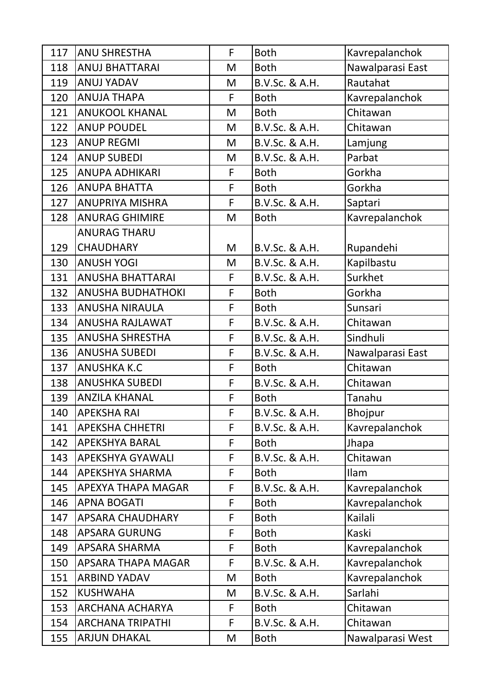| 117 | <b>ANU SHRESTHA</b>      | F | <b>Both</b>    | Kavrepalanchok   |
|-----|--------------------------|---|----------------|------------------|
| 118 | <b>ANUJ BHATTARAI</b>    | M | <b>Both</b>    | Nawalparasi East |
| 119 | <b>ANUJ YADAV</b>        | M | B.V.Sc. & A.H. | Rautahat         |
| 120 | <b>ANUJA THAPA</b>       | F | <b>Both</b>    | Kavrepalanchok   |
| 121 | <b>ANUKOOL KHANAL</b>    | M | <b>Both</b>    | Chitawan         |
| 122 | <b>ANUP POUDEL</b>       | M | B.V.Sc. & A.H. | Chitawan         |
| 123 | <b>ANUP REGMI</b>        | M | B.V.Sc. & A.H. | Lamjung          |
| 124 | <b>ANUP SUBEDI</b>       | M | B.V.Sc. & A.H. | Parbat           |
| 125 | <b>ANUPA ADHIKARI</b>    | F | <b>Both</b>    | Gorkha           |
| 126 | <b>ANUPA BHATTA</b>      | F | <b>Both</b>    | Gorkha           |
| 127 | <b>ANUPRIYA MISHRA</b>   | F | B.V.Sc. & A.H. | Saptari          |
| 128 | <b>ANURAG GHIMIRE</b>    | M | <b>Both</b>    | Kavrepalanchok   |
|     | <b>ANURAG THARU</b>      |   |                |                  |
| 129 | <b>CHAUDHARY</b>         | M | B.V.Sc. & A.H. | Rupandehi        |
| 130 | <b>ANUSH YOGI</b>        | M | B.V.Sc. & A.H. | Kapilbastu       |
| 131 | <b>ANUSHA BHATTARAI</b>  | F | B.V.Sc. & A.H. | Surkhet          |
| 132 | <b>ANUSHA BUDHATHOKI</b> | F | <b>Both</b>    | Gorkha           |
| 133 | <b>ANUSHA NIRAULA</b>    | F | <b>Both</b>    | Sunsari          |
| 134 | <b>ANUSHA RAJLAWAT</b>   | F | B.V.Sc. & A.H. | Chitawan         |
| 135 | <b>ANUSHA SHRESTHA</b>   | F | B.V.Sc. & A.H. | Sindhuli         |
| 136 | <b>ANUSHA SUBEDI</b>     | F | B.V.Sc. & A.H. | Nawalparasi East |
| 137 | <b>ANUSHKA K.C</b>       | F | <b>Both</b>    | Chitawan         |
| 138 | <b>ANUSHKA SUBEDI</b>    | F | B.V.Sc. & A.H. | Chitawan         |
| 139 | <b>ANZILA KHANAL</b>     | F | <b>Both</b>    | Tanahu           |
| 140 | <b>APEKSHA RAI</b>       | F | B.V.Sc. & A.H. | Bhojpur          |
| 141 | <b>APEKSHA CHHETRI</b>   | F | B.V.Sc. & A.H. | Kavrepalanchok   |
| 142 | <b>APEKSHYA BARAL</b>    | F | Both           | Jhapa            |
| 143 | <b>APEKSHYA GYAWALI</b>  | F | B.V.Sc. & A.H. | Chitawan         |
| 144 | APEKSHYA SHARMA          | F | <b>Both</b>    | <b>Ilam</b>      |
| 145 | APEXYA THAPA MAGAR       | F | B.V.Sc. & A.H. | Kavrepalanchok   |
| 146 | <b>APNA BOGATI</b>       | F | <b>Both</b>    | Kavrepalanchok   |
| 147 | <b>APSARA CHAUDHARY</b>  | F | <b>Both</b>    | Kailali          |
| 148 | <b>APSARA GURUNG</b>     | F | <b>Both</b>    | Kaski            |
| 149 | APSARA SHARMA            | F | <b>Both</b>    | Kavrepalanchok   |
| 150 | APSARA THAPA MAGAR       | F | B.V.Sc. & A.H. | Kavrepalanchok   |
| 151 | <b>ARBIND YADAV</b>      | M | <b>Both</b>    | Kavrepalanchok   |
| 152 | <b>KUSHWAHA</b>          | M | B.V.Sc. & A.H. | Sarlahi          |
| 153 | <b>ARCHANA ACHARYA</b>   | F | <b>Both</b>    | Chitawan         |
| 154 | <b>ARCHANA TRIPATHI</b>  | F | B.V.Sc. & A.H. | Chitawan         |
| 155 | <b>ARJUN DHAKAL</b>      | M | <b>Both</b>    | Nawalparasi West |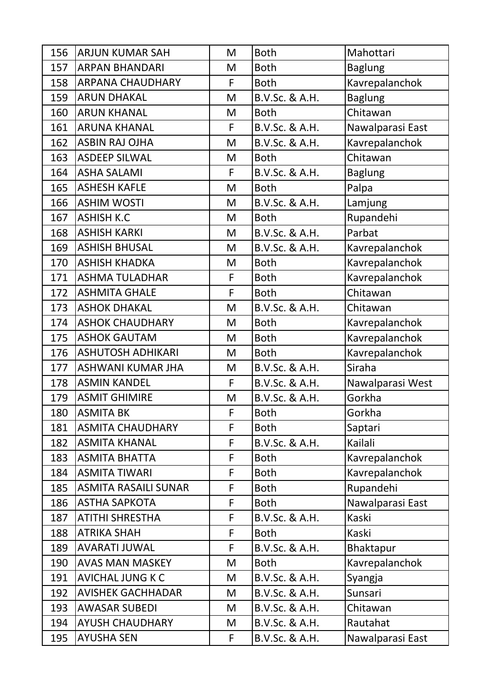| 156 | <b>ARJUN KUMAR SAH</b>      | M  | <b>Both</b>    | Mahottari        |
|-----|-----------------------------|----|----------------|------------------|
| 157 | <b>ARPAN BHANDARI</b>       | M  | <b>Both</b>    | <b>Baglung</b>   |
| 158 | <b>ARPANA CHAUDHARY</b>     | F  | <b>Both</b>    | Kavrepalanchok   |
| 159 | <b>ARUN DHAKAL</b>          | M  | B.V.Sc. & A.H. | <b>Baglung</b>   |
| 160 | <b>ARUN KHANAL</b>          | M  | <b>Both</b>    | Chitawan         |
| 161 | <b>ARUNA KHANAL</b>         | F  | B.V.Sc. & A.H. | Nawalparasi East |
| 162 | <b>ASBIN RAJ OJHA</b>       | M  | B.V.Sc. & A.H. | Kavrepalanchok   |
| 163 | <b>ASDEEP SILWAL</b>        | M  | <b>Both</b>    | Chitawan         |
| 164 | <b>ASHA SALAMI</b>          | F  | B.V.Sc. & A.H. | <b>Baglung</b>   |
| 165 | <b>ASHESH KAFLE</b>         | M  | <b>Both</b>    | Palpa            |
| 166 | <b>ASHIM WOSTI</b>          | M  | B.V.Sc. & A.H. | Lamjung          |
| 167 | <b>ASHISH K.C</b>           | M  | <b>Both</b>    | Rupandehi        |
| 168 | <b>ASHISH KARKI</b>         | M  | B.V.Sc. & A.H. | Parbat           |
| 169 | <b>ASHISH BHUSAL</b>        | M  | B.V.Sc. & A.H. | Kavrepalanchok   |
| 170 | <b>ASHISH KHADKA</b>        | M  | <b>Both</b>    | Kavrepalanchok   |
| 171 | <b>ASHMA TULADHAR</b>       | F  | <b>Both</b>    | Kavrepalanchok   |
| 172 | <b>ASHMITA GHALE</b>        | F  | <b>Both</b>    | Chitawan         |
| 173 | <b>ASHOK DHAKAL</b>         | M  | B.V.Sc. & A.H. | Chitawan         |
| 174 | <b>ASHOK CHAUDHARY</b>      | M  | <b>Both</b>    | Kavrepalanchok   |
| 175 | <b>ASHOK GAUTAM</b>         | M  | <b>Both</b>    | Kavrepalanchok   |
| 176 | <b>ASHUTOSH ADHIKARI</b>    | M  | <b>Both</b>    | Kavrepalanchok   |
| 177 | ASHWANI KUMAR JHA           | M  | B.V.Sc. & A.H. | Siraha           |
| 178 | <b>ASMIN KANDEL</b>         | F  | B.V.Sc. & A.H. | Nawalparasi West |
| 179 | <b>ASMIT GHIMIRE</b>        | M  | B.V.Sc. & A.H. | Gorkha           |
| 180 | <b>ASMITA BK</b>            | F  | <b>Both</b>    | Gorkha           |
| 181 | <b>ASMITA CHAUDHARY</b>     | F  | <b>Both</b>    | Saptari          |
| 182 | <b>ASMITA KHANAL</b>        | F  | B.V.Sc. & A.H. | Kailali          |
| 183 | <b>ASMITA BHATTA</b>        | F  | <b>Both</b>    | Kavrepalanchok   |
| 184 | <b>ASMITA TIWARI</b>        | F  | <b>Both</b>    | Kavrepalanchok   |
| 185 | <b>ASMITA RASAILI SUNAR</b> | F  | <b>Both</b>    | Rupandehi        |
| 186 | <b>ASTHA SAPKOTA</b>        | F  | <b>Both</b>    | Nawalparasi East |
| 187 | ATITHI SHRESTHA             | F  | B.V.Sc. & A.H. | Kaski            |
| 188 | <b>ATRIKA SHAH</b>          | F  | <b>Both</b>    | Kaski            |
| 189 | <b>AVARATI JUWAL</b>        | F  | B.V.Sc. & A.H. | Bhaktapur        |
| 190 | <b>AVAS MAN MASKEY</b>      | M  | <b>Both</b>    | Kavrepalanchok   |
| 191 | <b>AVICHAL JUNG K C</b>     | M  | B.V.Sc. & A.H. | Syangja          |
| 192 | <b>AVISHEK GACHHADAR</b>    | M  | B.V.Sc. & A.H. | Sunsari          |
| 193 | <b>AWASAR SUBEDI</b>        | M  | B.V.Sc. & A.H. | Chitawan         |
| 194 | <b>AYUSH CHAUDHARY</b>      | M  | B.V.Sc. & A.H. | Rautahat         |
| 195 | <b>AYUSHA SEN</b>           | F. | B.V.Sc. & A.H. | Nawalparasi East |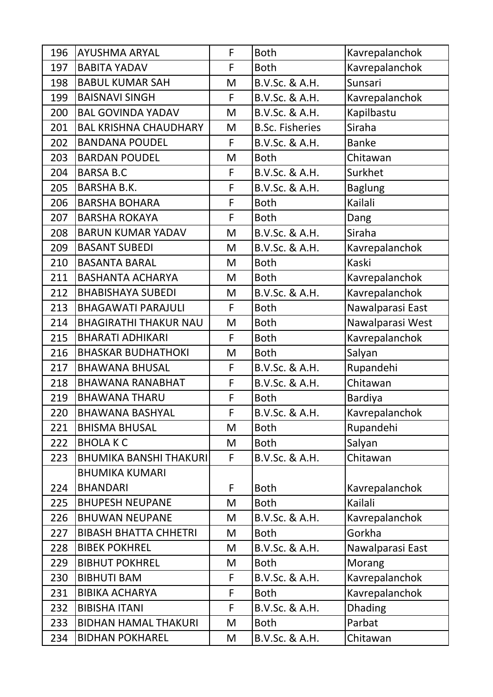| 196 | <b>AYUSHMA ARYAL</b>          | F | <b>Both</b>            | Kavrepalanchok   |
|-----|-------------------------------|---|------------------------|------------------|
| 197 | <b>BABITA YADAV</b>           | F | <b>Both</b>            | Kavrepalanchok   |
| 198 | <b>BABUL KUMAR SAH</b>        | M | B.V.Sc. & A.H.         | Sunsari          |
| 199 | <b>BAISNAVI SINGH</b>         | F | B.V.Sc. & A.H.         | Kavrepalanchok   |
| 200 | <b>BAL GOVINDA YADAV</b>      | M | B.V.Sc. & A.H.         | Kapilbastu       |
| 201 | <b>BAL KRISHNA CHAUDHARY</b>  | M | <b>B.Sc. Fisheries</b> | Siraha           |
| 202 | <b>BANDANA POUDEL</b>         | F | B.V.Sc. & A.H.         | <b>Banke</b>     |
| 203 | <b>BARDAN POUDEL</b>          | M | <b>Both</b>            | Chitawan         |
| 204 | <b>BARSA B.C</b>              | F | B.V.Sc. & A.H.         | Surkhet          |
| 205 | <b>BARSHA B.K.</b>            | F | B.V.Sc. & A.H.         | <b>Baglung</b>   |
| 206 | <b>BARSHA BOHARA</b>          | F | <b>Both</b>            | Kailali          |
| 207 | <b>BARSHA ROKAYA</b>          | F | <b>Both</b>            | Dang             |
| 208 | <b>BARUN KUMAR YADAV</b>      | M | B.V.Sc. & A.H.         | Siraha           |
| 209 | <b>BASANT SUBEDI</b>          | M | B.V.Sc. & A.H.         | Kavrepalanchok   |
| 210 | <b>BASANTA BARAL</b>          | M | <b>Both</b>            | <b>Kaski</b>     |
| 211 | <b>BASHANTA ACHARYA</b>       | M | <b>Both</b>            | Kavrepalanchok   |
| 212 | <b>BHABISHAYA SUBEDI</b>      | M | B.V.Sc. & A.H.         | Kavrepalanchok   |
| 213 | <b>BHAGAWATI PARAJULI</b>     | F | <b>Both</b>            | Nawalparasi East |
| 214 | <b>BHAGIRATHI THAKUR NAU</b>  | M | <b>Both</b>            | Nawalparasi West |
| 215 | <b>BHARATI ADHIKARI</b>       | F | <b>Both</b>            | Kavrepalanchok   |
| 216 | <b>BHASKAR BUDHATHOKI</b>     | M | <b>Both</b>            | Salyan           |
| 217 | <b>BHAWANA BHUSAL</b>         | F | B.V.Sc. & A.H.         | Rupandehi        |
| 218 | <b>BHAWANA RANABHAT</b>       | F | B.V.Sc. & A.H.         | Chitawan         |
| 219 | <b>BHAWANA THARU</b>          | F | <b>Both</b>            | Bardiya          |
| 220 | <b>BHAWANA BASHYAL</b>        | F | B.V.Sc. & A.H.         | Kavrepalanchok   |
| 221 | <b>BHISMA BHUSAL</b>          | M | <b>Both</b>            | Rupandehi        |
| 222 | <b>BHOLAKC</b>                | M | <b>Both</b>            | Salyan           |
| 223 | <b>BHUMIKA BANSHI THAKURI</b> | F | B.V.Sc. & A.H.         | Chitawan         |
|     | <b>BHUMIKA KUMARI</b>         |   |                        |                  |
| 224 | <b>BHANDARI</b>               | F | <b>Both</b>            | Kavrepalanchok   |
| 225 | <b>BHUPESH NEUPANE</b>        | M | <b>Both</b>            | Kailali          |
| 226 | <b>BHUWAN NEUPANE</b>         | M | B.V.Sc. & A.H.         | Kavrepalanchok   |
| 227 | <b>BIBASH BHATTA CHHETRI</b>  | M | <b>Both</b>            | Gorkha           |
| 228 | <b>BIBEK POKHREL</b>          | M | B.V.Sc. & A.H.         | Nawalparasi East |
| 229 | <b>BIBHUT POKHREL</b>         | M | <b>Both</b>            | Morang           |
| 230 | <b>BIBHUTI BAM</b>            | F | B.V.Sc. & A.H.         | Kavrepalanchok   |
| 231 | <b>BIBIKA ACHARYA</b>         | F | <b>Both</b>            | Kavrepalanchok   |
| 232 | <b>BIBISHA ITANI</b>          | F | B.V.Sc. & A.H.         | <b>Dhading</b>   |
| 233 | <b>BIDHAN HAMAL THAKURI</b>   | M | <b>Both</b>            | Parbat           |
| 234 | <b>BIDHAN POKHAREL</b>        | M | B.V.Sc. & A.H.         | Chitawan         |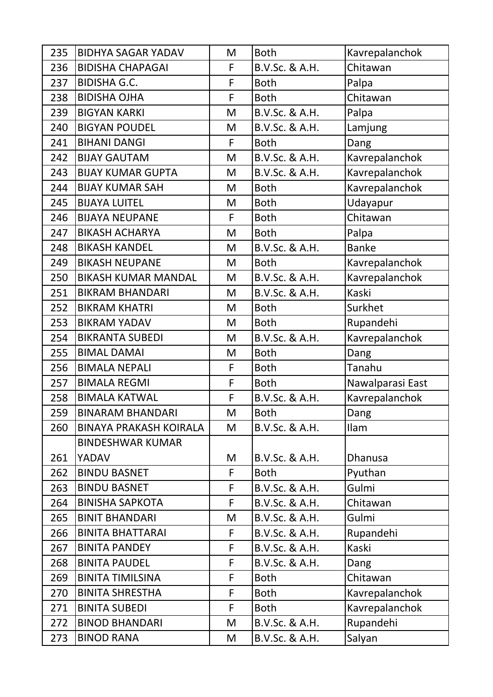| 235 | <b>BIDHYA SAGAR YADAV</b>     | M | <b>Both</b>    | Kavrepalanchok   |
|-----|-------------------------------|---|----------------|------------------|
| 236 | <b>BIDISHA CHAPAGAI</b>       | F | B.V.Sc. & A.H. | Chitawan         |
| 237 | <b>BIDISHA G.C.</b>           | F | <b>Both</b>    | Palpa            |
| 238 | <b>BIDISHA OJHA</b>           | F | <b>Both</b>    | Chitawan         |
| 239 | <b>BIGYAN KARKI</b>           | M | B.V.Sc. & A.H. | Palpa            |
| 240 | <b>BIGYAN POUDEL</b>          | M | B.V.Sc. & A.H. | Lamjung          |
| 241 | <b>BIHANI DANGI</b>           | F | <b>Both</b>    | Dang             |
| 242 | <b>BIJAY GAUTAM</b>           | M | B.V.Sc. & A.H. | Kavrepalanchok   |
| 243 | <b>BIJAY KUMAR GUPTA</b>      | M | B.V.Sc. & A.H. | Kavrepalanchok   |
| 244 | <b>BIJAY KUMAR SAH</b>        | M | <b>Both</b>    | Kavrepalanchok   |
| 245 | <b>BIJAYA LUITEL</b>          | M | <b>Both</b>    | Udayapur         |
| 246 | <b>BIJAYA NEUPANE</b>         | F | <b>Both</b>    | Chitawan         |
| 247 | <b>BIKASH ACHARYA</b>         | M | <b>Both</b>    | Palpa            |
| 248 | <b>BIKASH KANDEL</b>          | M | B.V.Sc. & A.H. | <b>Banke</b>     |
| 249 | <b>BIKASH NEUPANE</b>         | M | <b>Both</b>    | Kavrepalanchok   |
| 250 | <b>BIKASH KUMAR MANDAL</b>    | M | B.V.Sc. & A.H. | Kavrepalanchok   |
| 251 | <b>BIKRAM BHANDARI</b>        | M | B.V.Sc. & A.H. | Kaski            |
| 252 | <b>BIKRAM KHATRI</b>          | M | <b>Both</b>    | Surkhet          |
| 253 | <b>BIKRAM YADAV</b>           | M | <b>Both</b>    | Rupandehi        |
| 254 | <b>BIKRANTA SUBEDI</b>        | M | B.V.Sc. & A.H. | Kavrepalanchok   |
| 255 | <b>BIMAL DAMAI</b>            | M | <b>Both</b>    | Dang             |
| 256 | <b>BIMALA NEPALI</b>          | F | <b>Both</b>    | Tanahu           |
| 257 | <b>BIMALA REGMI</b>           | F | <b>Both</b>    | Nawalparasi East |
| 258 | <b>BIMALA KATWAL</b>          | F | B.V.Sc. & A.H. | Kavrepalanchok   |
| 259 | <b>BINARAM BHANDARI</b>       | M | <b>Both</b>    | Dang             |
| 260 | <b>BINAYA PRAKASH KOIRALA</b> | M | B.V.Sc. & A.H. | <b>Ilam</b>      |
|     | <b>BINDESHWAR KUMAR</b>       |   |                |                  |
| 261 | YADAV                         | M | B.V.Sc. & A.H. | <b>Dhanusa</b>   |
| 262 | <b>BINDU BASNET</b>           | F | <b>Both</b>    | Pyuthan          |
| 263 | <b>BINDU BASNET</b>           | F | B.V.Sc. & A.H. | Gulmi            |
| 264 | <b>BINISHA SAPKOTA</b>        | F | B.V.Sc. & A.H. | Chitawan         |
| 265 | <b>BINIT BHANDARI</b>         | M | B.V.Sc. & A.H. | Gulmi            |
| 266 | <b>BINITA BHATTARAI</b>       | F | B.V.Sc. & A.H. | Rupandehi        |
| 267 | <b>BINITA PANDEY</b>          | F | B.V.Sc. & A.H. | Kaski            |
| 268 | <b>BINITA PAUDEL</b>          | F | B.V.Sc. & A.H. | Dang             |
| 269 | <b>BINITA TIMILSINA</b>       | F | <b>Both</b>    | Chitawan         |
| 270 | <b>BINITA SHRESTHA</b>        | F | <b>Both</b>    | Kavrepalanchok   |
| 271 | <b>BINITA SUBEDI</b>          | F | <b>Both</b>    | Kavrepalanchok   |
| 272 | <b>BINOD BHANDARI</b>         | M | B.V.Sc. & A.H. | Rupandehi        |
| 273 | <b>BINOD RANA</b>             | M | B.V.Sc. & A.H. | Salyan           |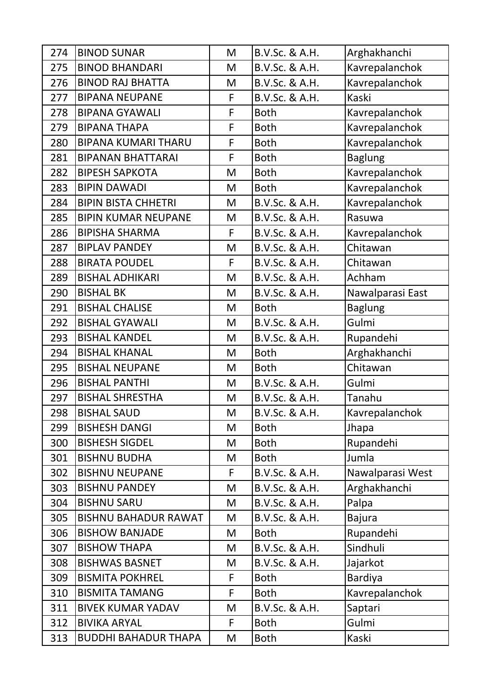| 274 | <b>BINOD SUNAR</b>          | M | B.V.Sc. & A.H. | Arghakhanchi     |
|-----|-----------------------------|---|----------------|------------------|
| 275 | <b>BINOD BHANDARI</b>       | M | B.V.Sc. & A.H. | Kavrepalanchok   |
| 276 | <b>BINOD RAJ BHATTA</b>     | M | B.V.Sc. & A.H. | Kavrepalanchok   |
| 277 | <b>BIPANA NEUPANE</b>       | F | B.V.Sc. & A.H. | Kaski            |
| 278 | <b>BIPANA GYAWALI</b>       | F | <b>Both</b>    | Kavrepalanchok   |
| 279 | <b>BIPANA THAPA</b>         | F | <b>Both</b>    | Kavrepalanchok   |
| 280 | <b>BIPANA KUMARI THARU</b>  | F | <b>Both</b>    | Kavrepalanchok   |
| 281 | <b>BIPANAN BHATTARAI</b>    | F | <b>Both</b>    | <b>Baglung</b>   |
| 282 | <b>BIPESH SAPKOTA</b>       | M | <b>Both</b>    | Kavrepalanchok   |
| 283 | <b>BIPIN DAWADI</b>         | M | <b>Both</b>    | Kavrepalanchok   |
| 284 | <b>BIPIN BISTA CHHETRI</b>  | M | B.V.Sc. & A.H. | Kavrepalanchok   |
| 285 | <b>BIPIN KUMAR NEUPANE</b>  | M | B.V.Sc. & A.H. | Rasuwa           |
| 286 | <b>BIPISHA SHARMA</b>       | F | B.V.Sc. & A.H. | Kavrepalanchok   |
| 287 | <b>BIPLAV PANDEY</b>        | M | B.V.Sc. & A.H. | Chitawan         |
| 288 | <b>BIRATA POUDEL</b>        | F | B.V.Sc. & A.H. | Chitawan         |
| 289 | <b>BISHAL ADHIKARI</b>      | M | B.V.Sc. & A.H. | Achham           |
| 290 | <b>BISHAL BK</b>            | M | B.V.Sc. & A.H. | Nawalparasi East |
| 291 | <b>BISHAL CHALISE</b>       | M | <b>Both</b>    | <b>Baglung</b>   |
| 292 | <b>BISHAL GYAWALI</b>       | M | B.V.Sc. & A.H. | Gulmi            |
| 293 | <b>BISHAL KANDEL</b>        | M | B.V.Sc. & A.H. | Rupandehi        |
| 294 | <b>BISHAL KHANAL</b>        | M | <b>Both</b>    | Arghakhanchi     |
| 295 | <b>BISHAL NEUPANE</b>       | M | <b>Both</b>    | Chitawan         |
| 296 | <b>BISHAL PANTHI</b>        | M | B.V.Sc. & A.H. | Gulmi            |
| 297 | <b>BISHAL SHRESTHA</b>      | M | B.V.Sc. & A.H. | Tanahu           |
| 298 | <b>BISHAL SAUD</b>          | M | B.V.Sc. & A.H. | Kavrepalanchok   |
| 299 | <b>BISHESH DANGI</b>        | M | <b>Both</b>    | Jhapa            |
| 300 | <b>BISHESH SIGDEL</b>       | M | <b>Both</b>    | Rupandehi        |
| 301 | <b>BISHNU BUDHA</b>         | M | <b>Both</b>    | Jumla            |
| 302 | <b>BISHNU NEUPANE</b>       | F | B.V.Sc. & A.H. | Nawalparasi West |
| 303 | <b>BISHNU PANDEY</b>        | M | B.V.Sc. & A.H. | Arghakhanchi     |
| 304 | <b>BISHNU SARU</b>          | M | B.V.Sc. & A.H. | Palpa            |
| 305 | <b>BISHNU BAHADUR RAWAT</b> | M | B.V.Sc. & A.H. | <b>Bajura</b>    |
| 306 | <b>BISHOW BANJADE</b>       | M | <b>Both</b>    | Rupandehi        |
| 307 | <b>BISHOW THAPA</b>         | M | B.V.Sc. & A.H. | Sindhuli         |
| 308 | <b>BISHWAS BASNET</b>       | M | B.V.Sc. & A.H. | Jajarkot         |
| 309 | <b>BISMITA POKHREL</b>      | F | <b>Both</b>    | <b>Bardiya</b>   |
| 310 | <b>BISMITA TAMANG</b>       | F | <b>Both</b>    | Kavrepalanchok   |
| 311 | <b>BIVEK KUMAR YADAV</b>    | M | B.V.Sc. & A.H. | Saptari          |
| 312 | <b>BIVIKA ARYAL</b>         | F | <b>Both</b>    | Gulmi            |
| 313 | <b>BUDDHI BAHADUR THAPA</b> | M | <b>Both</b>    | Kaski            |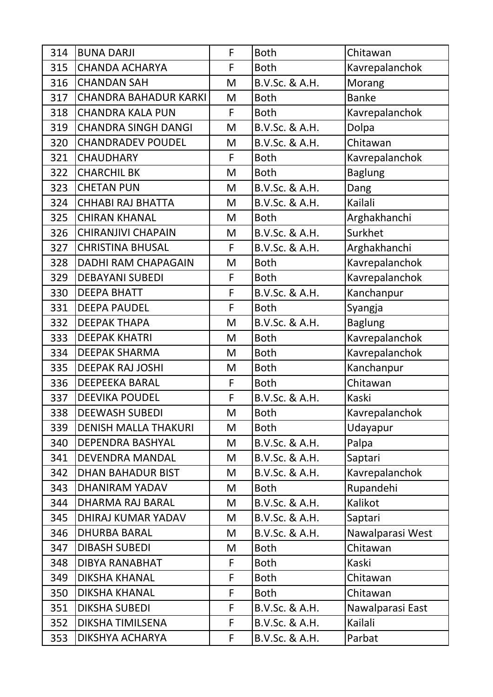| 314 | <b>BUNA DARJI</b>            | F | <b>Both</b>    | Chitawan         |
|-----|------------------------------|---|----------------|------------------|
| 315 | <b>CHANDA ACHARYA</b>        | F | <b>Both</b>    | Kavrepalanchok   |
| 316 | <b>CHANDAN SAH</b>           | M | B.V.Sc. & A.H. | Morang           |
| 317 | <b>CHANDRA BAHADUR KARKI</b> | M | <b>Both</b>    | <b>Banke</b>     |
| 318 | <b>CHANDRA KALA PUN</b>      | F | <b>Both</b>    | Kavrepalanchok   |
| 319 | <b>CHANDRA SINGH DANGI</b>   | M | B.V.Sc. & A.H. | Dolpa            |
| 320 | <b>CHANDRADEV POUDEL</b>     | M | B.V.Sc. & A.H. | Chitawan         |
| 321 | <b>CHAUDHARY</b>             | F | <b>Both</b>    | Kavrepalanchok   |
| 322 | <b>CHARCHIL BK</b>           | M | <b>Both</b>    | <b>Baglung</b>   |
| 323 | <b>CHETAN PUN</b>            | M | B.V.Sc. & A.H. | Dang             |
| 324 | <b>CHHABI RAJ BHATTA</b>     | M | B.V.Sc. & A.H. | Kailali          |
| 325 | <b>CHIRAN KHANAL</b>         | M | <b>Both</b>    | Arghakhanchi     |
| 326 | <b>CHIRANJIVI CHAPAIN</b>    | M | B.V.Sc. & A.H. | Surkhet          |
| 327 | <b>CHRISTINA BHUSAL</b>      | F | B.V.Sc. & A.H. | Arghakhanchi     |
| 328 | <b>DADHI RAM CHAPAGAIN</b>   | M | <b>Both</b>    | Kavrepalanchok   |
| 329 | <b>DEBAYANI SUBEDI</b>       | F | <b>Both</b>    | Kavrepalanchok   |
| 330 | <b>DEEPA BHATT</b>           | F | B.V.Sc. & A.H. | Kanchanpur       |
| 331 | <b>DEEPA PAUDEL</b>          | F | <b>Both</b>    | Syangja          |
| 332 | <b>DEEPAK THAPA</b>          | M | B.V.Sc. & A.H. | <b>Baglung</b>   |
| 333 | <b>DEEPAK KHATRI</b>         | M | <b>Both</b>    | Kavrepalanchok   |
| 334 | <b>DEEPAK SHARMA</b>         | M | <b>Both</b>    | Kavrepalanchok   |
| 335 | <b>DEEPAK RAJ JOSHI</b>      | M | <b>Both</b>    | Kanchanpur       |
| 336 | <b>DEEPEEKA BARAL</b>        | F | <b>Both</b>    | Chitawan         |
| 337 | <b>DEEVIKA POUDEL</b>        | F | B.V.Sc. & A.H. | Kaski            |
| 338 | <b>DEEWASH SUBEDI</b>        | M | <b>Both</b>    | Kavrepalanchok   |
| 339 | <b>DENISH MALLA THAKURI</b>  | M | <b>Both</b>    | Udayapur         |
| 340 | DEPENDRA BASHYAL             | M | B.V.Sc. & A.H. | Palpa            |
| 341 | <b>DEVENDRA MANDAL</b>       | M | B.V.Sc. & A.H. | Saptari          |
| 342 | <b>DHAN BAHADUR BIST</b>     | M | B.V.Sc. & A.H. | Kavrepalanchok   |
| 343 | <b>DHANIRAM YADAV</b>        | M | <b>Both</b>    | Rupandehi        |
| 344 | <b>DHARMA RAJ BARAL</b>      | M | B.V.Sc. & A.H. | Kalikot          |
| 345 | DHIRAJ KUMAR YADAV           | M | B.V.Sc. & A.H. | Saptari          |
| 346 | <b>DHURBA BARAL</b>          | M | B.V.Sc. & A.H. | Nawalparasi West |
| 347 | <b>DIBASH SUBEDI</b>         | M | <b>Both</b>    | Chitawan         |
| 348 | <b>DIBYA RANABHAT</b>        | F | <b>Both</b>    | Kaski            |
| 349 | <b>DIKSHA KHANAL</b>         | F | <b>Both</b>    | Chitawan         |
| 350 | <b>DIKSHA KHANAL</b>         | F | <b>Both</b>    | Chitawan         |
| 351 | <b>DIKSHA SUBEDI</b>         | F | B.V.Sc. & A.H. | Nawalparasi East |
| 352 | <b>DIKSHA TIMILSENA</b>      | F | B.V.Sc. & A.H. | Kailali          |
| 353 | DIKSHYA ACHARYA              | F | B.V.Sc. & A.H. | Parbat           |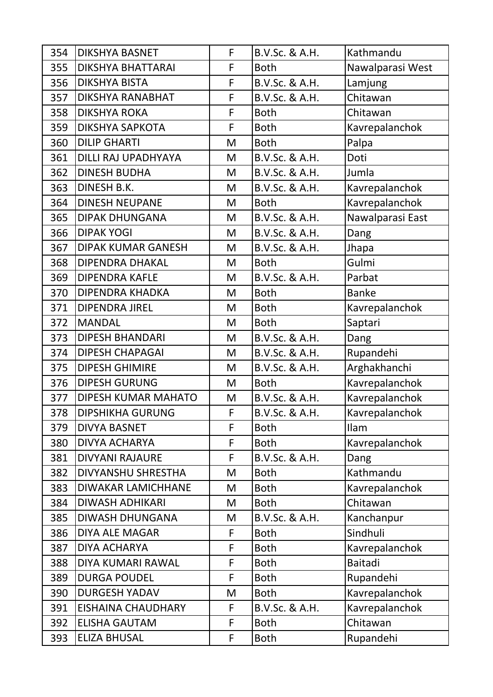| 354 | <b>DIKSHYA BASNET</b>     | F | B.V.Sc. & A.H. | Kathmandu        |
|-----|---------------------------|---|----------------|------------------|
| 355 | <b>DIKSHYA BHATTARAI</b>  | F | <b>Both</b>    | Nawalparasi West |
| 356 | <b>DIKSHYA BISTA</b>      | F | B.V.Sc. & A.H. | Lamjung          |
| 357 | DIKSHYA RANABHAT          | F | B.V.Sc. & A.H. | Chitawan         |
| 358 | <b>DIKSHYA ROKA</b>       | F | <b>Both</b>    | Chitawan         |
| 359 | <b>DIKSHYA SAPKOTA</b>    | F | <b>Both</b>    | Kavrepalanchok   |
| 360 | <b>DILIP GHARTI</b>       | M | <b>Both</b>    | Palpa            |
| 361 | DILLI RAJ UPADHYAYA       | M | B.V.Sc. & A.H. | Doti             |
| 362 | <b>DINESH BUDHA</b>       | M | B.V.Sc. & A.H. | Jumla            |
| 363 | DINESH B.K.               | M | B.V.Sc. & A.H. | Kavrepalanchok   |
| 364 | <b>DINESH NEUPANE</b>     | M | <b>Both</b>    | Kavrepalanchok   |
| 365 | <b>DIPAK DHUNGANA</b>     | M | B.V.Sc. & A.H. | Nawalparasi East |
| 366 | <b>DIPAK YOGI</b>         | M | B.V.Sc. & A.H. | Dang             |
| 367 | <b>DIPAK KUMAR GANESH</b> | M | B.V.Sc. & A.H. | Jhapa            |
| 368 | <b>DIPENDRA DHAKAL</b>    | M | <b>Both</b>    | Gulmi            |
| 369 | <b>DIPENDRA KAFLE</b>     | M | B.V.Sc. & A.H. | Parbat           |
| 370 | <b>DIPENDRA KHADKA</b>    | M | <b>Both</b>    | <b>Banke</b>     |
| 371 | <b>DIPENDRA JIREL</b>     | M | <b>Both</b>    | Kavrepalanchok   |
| 372 | <b>MANDAL</b>             | M | <b>Both</b>    | Saptari          |
| 373 | <b>DIPESH BHANDARI</b>    | M | B.V.Sc. & A.H. | Dang             |
| 374 | <b>DIPESH CHAPAGAI</b>    | M | B.V.Sc. & A.H. | Rupandehi        |
| 375 | <b>DIPESH GHIMIRE</b>     | M | B.V.Sc. & A.H. | Arghakhanchi     |
| 376 | <b>DIPESH GURUNG</b>      | M | <b>Both</b>    | Kavrepalanchok   |
| 377 | DIPESH KUMAR MAHATO       | M | B.V.Sc. & A.H. | Kavrepalanchok   |
| 378 | <b>DIPSHIKHA GURUNG</b>   | F | B.V.Sc. & A.H. | Kavrepalanchok   |
| 379 | <b>DIVYA BASNET</b>       | F | <b>Both</b>    | <b>Ilam</b>      |
| 380 | <b>DIVYA ACHARYA</b>      | F | <b>Both</b>    | Kavrepalanchok   |
| 381 | <b>DIVYANI RAJAURE</b>    | F | B.V.Sc. & A.H. | Dang             |
| 382 | DIVYANSHU SHRESTHA        | M | <b>Both</b>    | Kathmandu        |
| 383 | <b>DIWAKAR LAMICHHANE</b> | M | <b>Both</b>    | Kavrepalanchok   |
| 384 | <b>DIWASH ADHIKARI</b>    | M | <b>Both</b>    | Chitawan         |
| 385 | <b>DIWASH DHUNGANA</b>    | M | B.V.Sc. & A.H. | Kanchanpur       |
| 386 | <b>DIYA ALE MAGAR</b>     | F | <b>Both</b>    | Sindhuli         |
| 387 | <b>DIYA ACHARYA</b>       | F | <b>Both</b>    | Kavrepalanchok   |
| 388 | DIYA KUMARI RAWAL         | F | <b>Both</b>    | <b>Baitadi</b>   |
| 389 | <b>DURGA POUDEL</b>       | F | <b>Both</b>    | Rupandehi        |
| 390 | <b>DURGESH YADAV</b>      | M | <b>Both</b>    | Kavrepalanchok   |
| 391 | EISHAINA CHAUDHARY        | F | B.V.Sc. & A.H. | Kavrepalanchok   |
| 392 | <b>ELISHA GAUTAM</b>      | F | <b>Both</b>    | Chitawan         |
| 393 | <b>ELIZA BHUSAL</b>       | F | <b>Both</b>    | Rupandehi        |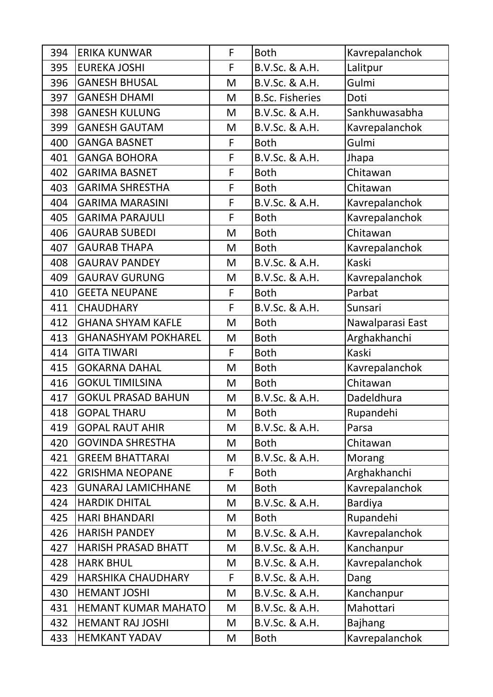| 394 | <b>ERIKA KUNWAR</b>        | F | <b>Both</b>            | Kavrepalanchok   |
|-----|----------------------------|---|------------------------|------------------|
| 395 | <b>EUREKA JOSHI</b>        | F | B.V.Sc. & A.H.         | Lalitpur         |
| 396 | <b>GANESH BHUSAL</b>       | M | B.V.Sc. & A.H.         | Gulmi            |
| 397 | <b>GANESH DHAMI</b>        | M | <b>B.Sc. Fisheries</b> | Doti             |
| 398 | <b>GANESH KULUNG</b>       | M | B.V.Sc. & A.H.         | Sankhuwasabha    |
| 399 | <b>GANESH GAUTAM</b>       | M | B.V.Sc. & A.H.         | Kavrepalanchok   |
| 400 | <b>GANGA BASNET</b>        | F | <b>Both</b>            | Gulmi            |
| 401 | <b>GANGA BOHORA</b>        | F | B.V.Sc. & A.H.         | Jhapa            |
| 402 | <b>GARIMA BASNET</b>       | F | <b>Both</b>            | Chitawan         |
| 403 | <b>GARIMA SHRESTHA</b>     | F | <b>Both</b>            | Chitawan         |
| 404 | <b>GARIMA MARASINI</b>     | F | B.V.Sc. & A.H.         | Kavrepalanchok   |
| 405 | <b>GARIMA PARAJULI</b>     | F | <b>Both</b>            | Kavrepalanchok   |
| 406 | <b>GAURAB SUBEDI</b>       | M | <b>Both</b>            | Chitawan         |
| 407 | <b>GAURAB THAPA</b>        | M | <b>Both</b>            | Kavrepalanchok   |
| 408 | <b>GAURAV PANDEY</b>       | M | B.V.Sc. & A.H.         | Kaski            |
| 409 | <b>GAURAV GURUNG</b>       | M | B.V.Sc. & A.H.         | Kavrepalanchok   |
| 410 | <b>GEETA NEUPANE</b>       | F | <b>Both</b>            | Parbat           |
| 411 | <b>CHAUDHARY</b>           | F | B.V.Sc. & A.H.         | Sunsari          |
| 412 | <b>GHANA SHYAM KAFLE</b>   | M | <b>Both</b>            | Nawalparasi East |
| 413 | <b>GHANASHYAM POKHAREL</b> | M | <b>Both</b>            | Arghakhanchi     |
| 414 | <b>GITA TIWARI</b>         | F | <b>Both</b>            | Kaski            |
| 415 | <b>GOKARNA DAHAL</b>       | M | <b>Both</b>            | Kavrepalanchok   |
| 416 | <b>GOKUL TIMILSINA</b>     | M | <b>Both</b>            | Chitawan         |
| 417 | <b>GOKUL PRASAD BAHUN</b>  | M | B.V.Sc. & A.H.         | Dadeldhura       |
| 418 | <b>GOPAL THARU</b>         | M | <b>Both</b>            | Rupandehi        |
| 419 | <b>GOPAL RAUT AHIR</b>     | M | B.V.Sc. & A.H.         | Parsa            |
| 420 | <b>GOVINDA SHRESTHA</b>    | M | <b>Both</b>            | Chitawan         |
| 421 | <b>GREEM BHATTARAI</b>     | M | B.V.Sc. & A.H.         | Morang           |
| 422 | <b>GRISHMA NEOPANE</b>     | F | <b>Both</b>            | Arghakhanchi     |
| 423 | <b>GUNARAJ LAMICHHANE</b>  | M | <b>Both</b>            | Kavrepalanchok   |
| 424 | <b>HARDIK DHITAL</b>       | M | B.V.Sc. & A.H.         | <b>Bardiya</b>   |
| 425 | <b>HARI BHANDARI</b>       | M | <b>Both</b>            | Rupandehi        |
| 426 | <b>HARISH PANDEY</b>       | M | B.V.Sc. & A.H.         | Kavrepalanchok   |
| 427 | <b>HARISH PRASAD BHATT</b> | M | B.V.Sc. & A.H.         | Kanchanpur       |
| 428 | <b>HARK BHUL</b>           | M | B.V.Sc. & A.H.         | Kavrepalanchok   |
| 429 | <b>HARSHIKA CHAUDHARY</b>  | F | B.V.Sc. & A.H.         | Dang             |
| 430 | <b>HEMANT JOSHI</b>        | M | B.V.Sc. & A.H.         | Kanchanpur       |
| 431 | <b>HEMANT KUMAR MAHATO</b> | M | B.V.Sc. & A.H.         | Mahottari        |
| 432 | <b>HEMANT RAJ JOSHI</b>    | M | B.V.Sc. & A.H.         | <b>Bajhang</b>   |
| 433 | <b>HEMKANT YADAV</b>       | M | <b>Both</b>            | Kavrepalanchok   |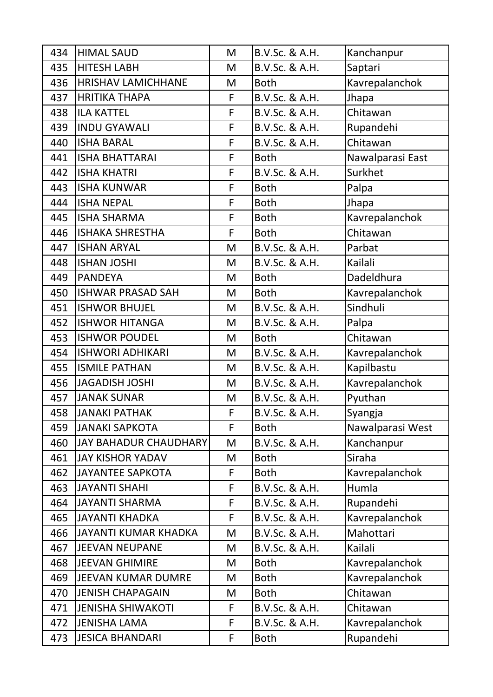| 434 | <b>HIMAL SAUD</b>            | M | B.V.Sc. & A.H. | Kanchanpur       |
|-----|------------------------------|---|----------------|------------------|
| 435 | <b>HITESH LABH</b>           | M | B.V.Sc. & A.H. | Saptari          |
| 436 | <b>HRISHAV LAMICHHANE</b>    | M | <b>Both</b>    | Kavrepalanchok   |
| 437 | <b>HRITIKA THAPA</b>         | F | B.V.Sc. & A.H. | Jhapa            |
| 438 | <b>ILA KATTEL</b>            | F | B.V.Sc. & A.H. | Chitawan         |
| 439 | <b>INDU GYAWALI</b>          | F | B.V.Sc. & A.H. | Rupandehi        |
| 440 | <b>ISHA BARAL</b>            | F | B.V.Sc. & A.H. | Chitawan         |
| 441 | <b>ISHA BHATTARAI</b>        | F | <b>Both</b>    | Nawalparasi East |
| 442 | <b>ISHA KHATRI</b>           | F | B.V.Sc. & A.H. | Surkhet          |
| 443 | <b>ISHA KUNWAR</b>           | F | <b>Both</b>    | Palpa            |
| 444 | <b>ISHA NEPAL</b>            | F | <b>Both</b>    | Jhapa            |
| 445 | <b>ISHA SHARMA</b>           | F | <b>Both</b>    | Kavrepalanchok   |
| 446 | <b>ISHAKA SHRESTHA</b>       | F | <b>Both</b>    | Chitawan         |
| 447 | <b>ISHAN ARYAL</b>           | M | B.V.Sc. & A.H. | Parbat           |
| 448 | <b>ISHAN JOSHI</b>           | M | B.V.Sc. & A.H. | Kailali          |
| 449 | <b>PANDEYA</b>               | M | <b>Both</b>    | Dadeldhura       |
| 450 | <b>ISHWAR PRASAD SAH</b>     | M | <b>Both</b>    | Kavrepalanchok   |
| 451 | <b>ISHWOR BHUJEL</b>         | M | B.V.Sc. & A.H. | Sindhuli         |
| 452 | <b>ISHWOR HITANGA</b>        | M | B.V.Sc. & A.H. | Palpa            |
| 453 | <b>ISHWOR POUDEL</b>         | M | <b>Both</b>    | Chitawan         |
| 454 | <b>ISHWORI ADHIKARI</b>      | M | B.V.Sc. & A.H. | Kavrepalanchok   |
| 455 | <b>ISMILE PATHAN</b>         | M | B.V.Sc. & A.H. | Kapilbastu       |
| 456 | <b>JAGADISH JOSHI</b>        | M | B.V.Sc. & A.H. | Kavrepalanchok   |
| 457 | <b>JANAK SUNAR</b>           | M | B.V.Sc. & A.H. | Pyuthan          |
| 458 | <b>JANAKI PATHAK</b>         | F | B.V.Sc. & A.H. | Syangja          |
| 459 | <b>JANAKI SAPKOTA</b>        | F | <b>Both</b>    | Nawalparasi West |
| 460 | <b>JAY BAHADUR CHAUDHARY</b> | M | B.V.Sc. & A.H. | Kanchanpur       |
| 461 | <b>JAY KISHOR YADAV</b>      | M | <b>Both</b>    | Siraha           |
| 462 | <b>JAYANTEE SAPKOTA</b>      | F | <b>Both</b>    | Kavrepalanchok   |
| 463 | <b>JAYANTI SHAHI</b>         | F | B.V.Sc. & A.H. | Humla            |
| 464 | <b>JAYANTI SHARMA</b>        | F | B.V.Sc. & A.H. | Rupandehi        |
| 465 | <b>JAYANTI KHADKA</b>        | F | B.V.Sc. & A.H. | Kavrepalanchok   |
| 466 | <b>JAYANTI KUMAR KHADKA</b>  | M | B.V.Sc. & A.H. | Mahottari        |
| 467 | <b>JEEVAN NEUPANE</b>        | M | B.V.Sc. & A.H. | Kailali          |
| 468 | <b>JEEVAN GHIMIRE</b>        | M | <b>Both</b>    | Kavrepalanchok   |
| 469 | <b>JEEVAN KUMAR DUMRE</b>    | M | <b>Both</b>    | Kavrepalanchok   |
| 470 | <b>JENISH CHAPAGAIN</b>      | M | <b>Both</b>    | Chitawan         |
| 471 | <b>JENISHA SHIWAKOTI</b>     | F | B.V.Sc. & A.H. | Chitawan         |
| 472 | <b>JENISHA LAMA</b>          | F | B.V.Sc. & A.H. | Kavrepalanchok   |
| 473 | <b>JESICA BHANDARI</b>       | F | <b>Both</b>    | Rupandehi        |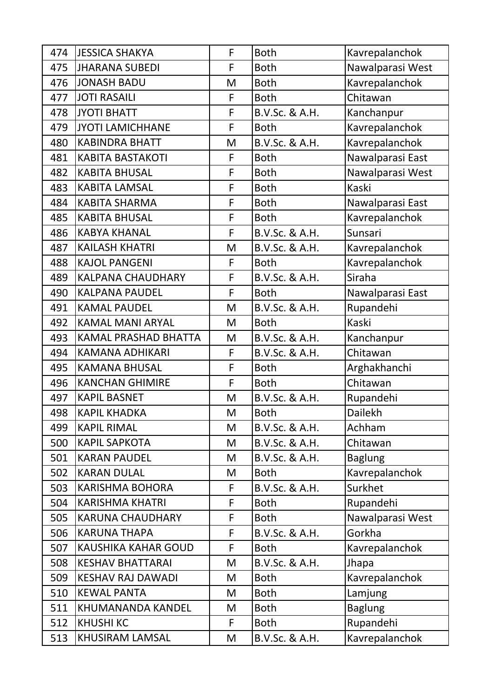| 474 | <b>JESSICA SHAKYA</b>       | F | <b>Both</b>    | Kavrepalanchok   |
|-----|-----------------------------|---|----------------|------------------|
| 475 | <b>JHARANA SUBEDI</b>       | F | <b>Both</b>    | Nawalparasi West |
| 476 | <b>JONASH BADU</b>          | M | <b>Both</b>    | Kavrepalanchok   |
| 477 | <b>JOTI RASAILI</b>         | F | <b>Both</b>    | Chitawan         |
| 478 | JYOTI BHATT                 | F | B.V.Sc. & A.H. | Kanchanpur       |
| 479 | <b>JYOTI LAMICHHANE</b>     | F | <b>Both</b>    | Kavrepalanchok   |
| 480 | <b>KABINDRA BHATT</b>       | M | B.V.Sc. & A.H. | Kavrepalanchok   |
| 481 | <b>KABITA BASTAKOTI</b>     | F | <b>Both</b>    | Nawalparasi East |
| 482 | <b>KABITA BHUSAL</b>        | F | <b>Both</b>    | Nawalparasi West |
| 483 | <b>KABITA LAMSAL</b>        | F | <b>Both</b>    | Kaski            |
| 484 | <b>KABITA SHARMA</b>        | F | <b>Both</b>    | Nawalparasi East |
| 485 | <b>KABITA BHUSAL</b>        | F | <b>Both</b>    | Kavrepalanchok   |
| 486 | <b>KABYA KHANAL</b>         | F | B.V.Sc. & A.H. | Sunsari          |
| 487 | <b>KAILASH KHATRI</b>       | M | B.V.Sc. & A.H. | Kavrepalanchok   |
| 488 | <b>KAJOL PANGENI</b>        | F | <b>Both</b>    | Kavrepalanchok   |
| 489 | <b>KALPANA CHAUDHARY</b>    | F | B.V.Sc. & A.H. | Siraha           |
| 490 | <b>KALPANA PAUDEL</b>       | F | <b>Both</b>    | Nawalparasi East |
| 491 | <b>KAMAL PAUDEL</b>         | M | B.V.Sc. & A.H. | Rupandehi        |
| 492 | <b>KAMAL MANI ARYAL</b>     | M | <b>Both</b>    | Kaski            |
| 493 | <b>KAMAL PRASHAD BHATTA</b> | M | B.V.Sc. & A.H. | Kanchanpur       |
| 494 | <b>KAMANA ADHIKARI</b>      | F | B.V.Sc. & A.H. | Chitawan         |
| 495 | <b>KAMANA BHUSAL</b>        | F | <b>Both</b>    | Arghakhanchi     |
| 496 | <b>KANCHAN GHIMIRE</b>      | F | <b>Both</b>    | Chitawan         |
| 497 | <b>KAPIL BASNET</b>         | M | B.V.Sc. & A.H. | Rupandehi        |
| 498 | <b>KAPIL KHADKA</b>         | M | <b>Both</b>    | Dailekh          |
| 499 | <b>KAPIL RIMAL</b>          | M | B.V.Sc. & A.H. | Achham           |
| 500 | <b>KAPIL SAPKOTA</b>        | M | B.V.Sc. & A.H. | Chitawan         |
| 501 | <b>KARAN PAUDEL</b>         | M | B.V.Sc. & A.H. | <b>Baglung</b>   |
| 502 | <b>KARAN DULAL</b>          | M | <b>Both</b>    | Kavrepalanchok   |
| 503 | <b>KARISHMA BOHORA</b>      | F | B.V.Sc. & A.H. | Surkhet          |
| 504 | <b>KARISHMA KHATRI</b>      | F | <b>Both</b>    | Rupandehi        |
| 505 | <b>KARUNA CHAUDHARY</b>     | F | <b>Both</b>    | Nawalparasi West |
| 506 | <b>KARUNA THAPA</b>         | F | B.V.Sc. & A.H. | Gorkha           |
| 507 | <b>KAUSHIKA KAHAR GOUD</b>  | F | <b>Both</b>    | Kavrepalanchok   |
| 508 | <b>KESHAV BHATTARAI</b>     | M | B.V.Sc. & A.H. | Jhapa            |
| 509 | <b>KESHAV RAJ DAWADI</b>    | M | <b>Both</b>    | Kavrepalanchok   |
| 510 | <b>KEWAL PANTA</b>          | M | <b>Both</b>    | Lamjung          |
| 511 | KHUMANANDA KANDEL           | M | <b>Both</b>    | <b>Baglung</b>   |
| 512 | <b>KHUSHI KC</b>            | F | <b>Both</b>    | Rupandehi        |
| 513 | <b>KHUSIRAM LAMSAL</b>      | M | B.V.Sc. & A.H. | Kavrepalanchok   |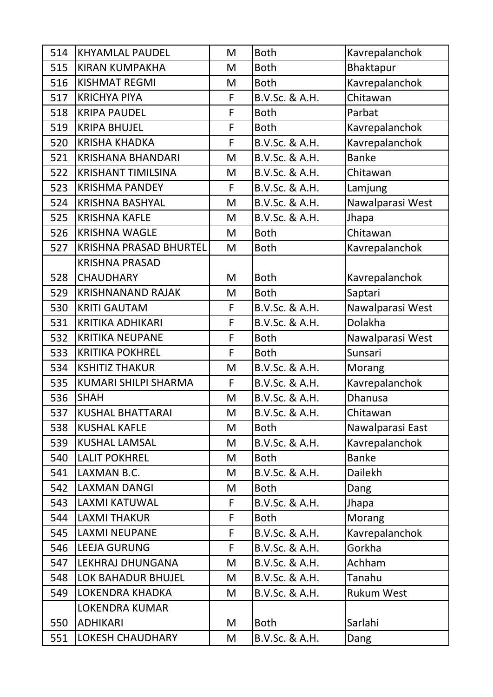| 514 | <b>KHYAMLAL PAUDEL</b>        | M | <b>Both</b>    | Kavrepalanchok    |
|-----|-------------------------------|---|----------------|-------------------|
| 515 | <b>KIRAN KUMPAKHA</b>         | M | <b>Both</b>    | Bhaktapur         |
| 516 | <b>KISHMAT REGMI</b>          | M | <b>Both</b>    | Kavrepalanchok    |
| 517 | <b>KRICHYA PIYA</b>           | F | B.V.Sc. & A.H. | Chitawan          |
| 518 | <b>KRIPA PAUDEL</b>           | F | <b>Both</b>    | Parbat            |
| 519 | <b>KRIPA BHUJEL</b>           | F | <b>Both</b>    | Kavrepalanchok    |
| 520 | <b>KRISHA KHADKA</b>          | F | B.V.Sc. & A.H. | Kavrepalanchok    |
| 521 | <b>KRISHANA BHANDARI</b>      | M | B.V.Sc. & A.H. | <b>Banke</b>      |
| 522 | <b>KRISHANT TIMILSINA</b>     | M | B.V.Sc. & A.H. | Chitawan          |
| 523 | <b>KRISHMA PANDEY</b>         | F | B.V.Sc. & A.H. | Lamjung           |
| 524 | <b>KRISHNA BASHYAL</b>        | M | B.V.Sc. & A.H. | Nawalparasi West  |
| 525 | <b>KRISHNA KAFLE</b>          | M | B.V.Sc. & A.H. | Jhapa             |
| 526 | <b>KRISHNA WAGLE</b>          | M | <b>Both</b>    | Chitawan          |
| 527 | <b>KRISHNA PRASAD BHURTEL</b> | M | <b>Both</b>    | Kavrepalanchok    |
|     | <b>KRISHNA PRASAD</b>         |   |                |                   |
| 528 | <b>CHAUDHARY</b>              | M | <b>Both</b>    | Kavrepalanchok    |
| 529 | <b>KRISHNANAND RAJAK</b>      | M | <b>Both</b>    | Saptari           |
| 530 | <b>KRITI GAUTAM</b>           | F | B.V.Sc. & A.H. | Nawalparasi West  |
| 531 | <b>KRITIKA ADHIKARI</b>       | F | B.V.Sc. & A.H. | Dolakha           |
| 532 | <b>KRITIKA NEUPANE</b>        | F | <b>Both</b>    | Nawalparasi West  |
| 533 | <b>KRITIKA POKHREL</b>        | F | <b>Both</b>    | Sunsari           |
| 534 | <b>KSHITIZ THAKUR</b>         | M | B.V.Sc. & A.H. | Morang            |
| 535 | <b>KUMARI SHILPI SHARMA</b>   | F | B.V.Sc. & A.H. | Kavrepalanchok    |
| 536 | <b>SHAH</b>                   | M | B.V.Sc. & A.H. | <b>Dhanusa</b>    |
| 537 | <b>KUSHAL BHATTARAI</b>       | M | B.V.Sc. & A.H. | Chitawan          |
| 538 | <b>KUSHAL KAFLE</b>           | M | <b>Both</b>    | Nawalparasi East  |
| 539 | <b>KUSHAL LAMSAL</b>          | M | B.V.Sc. & A.H. | Kavrepalanchok    |
| 540 | <b>LALIT POKHREL</b>          | M | <b>Both</b>    | <b>Banke</b>      |
| 541 | LAXMAN B.C.                   | M | B.V.Sc. & A.H. | <b>Dailekh</b>    |
| 542 | <b>LAXMAN DANGI</b>           | M | <b>Both</b>    | Dang              |
| 543 | LAXMI KATUWAL                 | F | B.V.Sc. & A.H. | Jhapa             |
| 544 | <b>LAXMI THAKUR</b>           | F | <b>Both</b>    | Morang            |
| 545 | <b>LAXMI NEUPANE</b>          | F | B.V.Sc. & A.H. | Kavrepalanchok    |
| 546 | <b>LEEJA GURUNG</b>           | F | B.V.Sc. & A.H. | Gorkha            |
| 547 | LEKHRAJ DHUNGANA              | M | B.V.Sc. & A.H. | Achham            |
| 548 | LOK BAHADUR BHUJEL            | M | B.V.Sc. & A.H. | Tanahu            |
| 549 | <b>LOKENDRA KHADKA</b>        | M | B.V.Sc. & A.H. | <b>Rukum West</b> |
|     | <b>LOKENDRA KUMAR</b>         |   |                |                   |
| 550 | <b>ADHIKARI</b>               | M | <b>Both</b>    | Sarlahi           |
| 551 | <b>LOKESH CHAUDHARY</b>       | M | B.V.Sc. & A.H. | Dang              |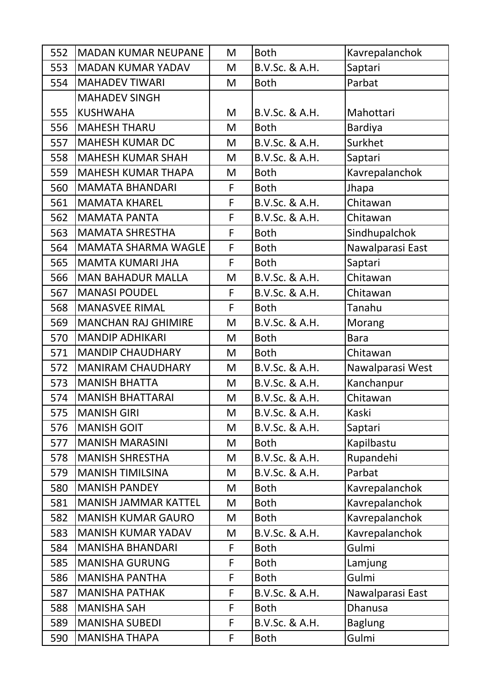| 552 | <b>MADAN KUMAR NEUPANE</b>  | M | <b>Both</b>    | Kavrepalanchok   |
|-----|-----------------------------|---|----------------|------------------|
| 553 | <b>MADAN KUMAR YADAV</b>    | M | B.V.Sc. & A.H. | Saptari          |
| 554 | <b>MAHADEV TIWARI</b>       | M | <b>Both</b>    | Parbat           |
|     | <b>MAHADEV SINGH</b>        |   |                |                  |
| 555 | <b>KUSHWAHA</b>             | M | B.V.Sc. & A.H. | Mahottari        |
| 556 | <b>MAHESH THARU</b>         | M | <b>Both</b>    | <b>Bardiya</b>   |
| 557 | <b>MAHESH KUMAR DC</b>      | M | B.V.Sc. & A.H. | Surkhet          |
| 558 | <b>MAHESH KUMAR SHAH</b>    | M | B.V.Sc. & A.H. | Saptari          |
| 559 | <b>MAHESH KUMAR THAPA</b>   | M | <b>Both</b>    | Kavrepalanchok   |
| 560 | <b>MAMATA BHANDARI</b>      | F | <b>Both</b>    | Jhapa            |
| 561 | <b>MAMATA KHAREL</b>        | F | B.V.Sc. & A.H. | Chitawan         |
| 562 | <b>MAMATA PANTA</b>         | F | B.V.Sc. & A.H. | Chitawan         |
| 563 | <b>MAMATA SHRESTHA</b>      | F | <b>Both</b>    | Sindhupalchok    |
| 564 | <b>MAMATA SHARMA WAGLE</b>  | F | <b>Both</b>    | Nawalparasi East |
| 565 | <b>MAMTA KUMARI JHA</b>     | F | <b>Both</b>    | Saptari          |
| 566 | <b>MAN BAHADUR MALLA</b>    | M | B.V.Sc. & A.H. | Chitawan         |
| 567 | <b>MANASI POUDEL</b>        | F | B.V.Sc. & A.H. | Chitawan         |
| 568 | <b>MANASVEE RIMAL</b>       | F | <b>Both</b>    | Tanahu           |
| 569 | <b>MANCHAN RAJ GHIMIRE</b>  | M | B.V.Sc. & A.H. | Morang           |
| 570 | <b>MANDIP ADHIKARI</b>      | M | <b>Both</b>    | <b>Bara</b>      |
|     |                             |   |                |                  |
| 571 | <b>MANDIP CHAUDHARY</b>     | M | <b>Both</b>    | Chitawan         |
| 572 | <b>MANIRAM CHAUDHARY</b>    | M | B.V.Sc. & A.H. | Nawalparasi West |
| 573 | <b>MANISH BHATTA</b>        | M | B.V.Sc. & A.H. | Kanchanpur       |
| 574 | <b>MANISH BHATTARAI</b>     | M | B.V.Sc. & A.H. | Chitawan         |
| 575 | <b>MANISH GIRI</b>          | M | B.V.Sc. & A.H. | Kaski            |
| 576 | <b>MANISH GOIT</b>          | M | B.V.Sc. & A.H. | Saptari          |
| 577 | <b>MANISH MARASINI</b>      | M | <b>Both</b>    | Kapilbastu       |
| 578 | <b>MANISH SHRESTHA</b>      | M | B.V.Sc. & A.H. | Rupandehi        |
| 579 | <b>MANISH TIMILSINA</b>     | M | B.V.Sc. & A.H. | Parbat           |
| 580 | <b>MANISH PANDEY</b>        | M | <b>Both</b>    | Kavrepalanchok   |
| 581 | <b>MANISH JAMMAR KATTEL</b> | M | <b>Both</b>    | Kavrepalanchok   |
| 582 | <b>MANISH KUMAR GAURO</b>   | M | <b>Both</b>    | Kavrepalanchok   |
| 583 | <b>MANISH KUMAR YADAV</b>   | M | B.V.Sc. & A.H. | Kavrepalanchok   |
| 584 | <b>MANISHA BHANDARI</b>     | F | <b>Both</b>    | Gulmi            |
| 585 | <b>MANISHA GURUNG</b>       | F | <b>Both</b>    | Lamjung          |
| 586 | <b>MANISHA PANTHA</b>       | F | <b>Both</b>    | Gulmi            |
| 587 | <b>MANISHA PATHAK</b>       | F | B.V.Sc. & A.H. | Nawalparasi East |
| 588 | <b>MANISHA SAH</b>          | F | <b>Both</b>    | Dhanusa          |
| 589 | <b>MANISHA SUBEDI</b>       | F | B.V.Sc. & A.H. | <b>Baglung</b>   |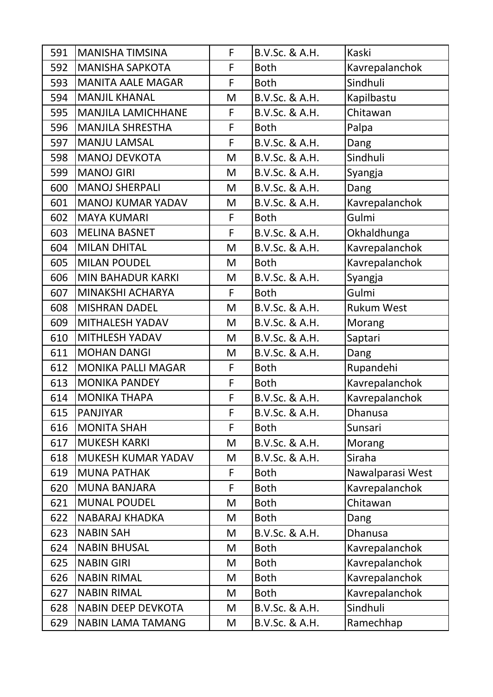| 591 | <b>MANISHA TIMSINA</b>    | F | B.V.Sc. & A.H. | Kaski             |
|-----|---------------------------|---|----------------|-------------------|
| 592 | <b>MANISHA SAPKOTA</b>    | F | <b>Both</b>    | Kavrepalanchok    |
| 593 | <b>MANITA AALE MAGAR</b>  | F | <b>Both</b>    | Sindhuli          |
| 594 | MANJIL KHANAL             | M | B.V.Sc. & A.H. | Kapilbastu        |
| 595 | <b>MANJILA LAMICHHANE</b> | F | B.V.Sc. & A.H. | Chitawan          |
| 596 | <b>MANJILA SHRESTHA</b>   | F | <b>Both</b>    | Palpa             |
| 597 | MANJU LAMSAL              | F | B.V.Sc. & A.H. | Dang              |
| 598 | <b>MANOJ DEVKOTA</b>      | M | B.V.Sc. & A.H. | Sindhuli          |
| 599 | <b>MANOJ GIRI</b>         | M | B.V.Sc. & A.H. | Syangja           |
| 600 | <b>MANOJ SHERPALI</b>     | M | B.V.Sc. & A.H. | Dang              |
| 601 | <b>MANOJ KUMAR YADAV</b>  | M | B.V.Sc. & A.H. | Kavrepalanchok    |
| 602 | <b>MAYA KUMARI</b>        | F | <b>Both</b>    | Gulmi             |
| 603 | <b>MELINA BASNET</b>      | F | B.V.Sc. & A.H. | Okhaldhunga       |
| 604 | MILAN DHITAL              | M | B.V.Sc. & A.H. | Kavrepalanchok    |
| 605 | <b>MILAN POUDEL</b>       | M | <b>Both</b>    | Kavrepalanchok    |
| 606 | <b>MIN BAHADUR KARKI</b>  | M | B.V.Sc. & A.H. | Syangja           |
| 607 | MINAKSHI ACHARYA          | F | <b>Both</b>    | Gulmi             |
| 608 | <b>MISHRAN DADEL</b>      | M | B.V.Sc. & A.H. | <b>Rukum West</b> |
| 609 | <b>MITHALESH YADAV</b>    | M | B.V.Sc. & A.H. | Morang            |
| 610 | <b>MITHLESH YADAV</b>     | M | B.V.Sc. & A.H. | Saptari           |
| 611 | <b>MOHAN DANGI</b>        | M | B.V.Sc. & A.H. | Dang              |
| 612 | <b>MONIKA PALLI MAGAR</b> | F | <b>Both</b>    | Rupandehi         |
| 613 | <b>MONIKA PANDEY</b>      | F | <b>Both</b>    | Kavrepalanchok    |
| 614 | <b>MONIKA THAPA</b>       | F | B.V.Sc. & A.H. | Kavrepalanchok    |
| 615 | PANJIYAR                  | F | B.V.Sc. & A.H. | <b>Dhanusa</b>    |
| 616 | <b>MONITA SHAH</b>        | F | <b>Both</b>    | Sunsari           |
| 617 | <b>MUKESH KARKI</b>       | M | B.V.Sc. & A.H. | Morang            |
| 618 | MUKESH KUMAR YADAV        | M | B.V.Sc. & A.H. | Siraha            |
| 619 | <b>MUNA PATHAK</b>        | F | <b>Both</b>    | Nawalparasi West  |
| 620 | <b>MUNA BANJARA</b>       | F | <b>Both</b>    | Kavrepalanchok    |
| 621 | <b>MUNAL POUDEL</b>       | M | <b>Both</b>    | Chitawan          |
| 622 | NABARAJ KHADKA            | M | <b>Both</b>    | Dang              |
| 623 | <b>NABIN SAH</b>          | M | B.V.Sc. & A.H. | Dhanusa           |
| 624 | <b>NABIN BHUSAL</b>       | M | <b>Both</b>    | Kavrepalanchok    |
| 625 | <b>NABIN GIRI</b>         | M | <b>Both</b>    | Kavrepalanchok    |
| 626 | <b>NABIN RIMAL</b>        | M | <b>Both</b>    | Kavrepalanchok    |
| 627 | <b>NABIN RIMAL</b>        | M | <b>Both</b>    | Kavrepalanchok    |
| 628 | NABIN DEEP DEVKOTA        | M | B.V.Sc. & A.H. | Sindhuli          |
| 629 | <b>NABIN LAMA TAMANG</b>  | M | B.V.Sc. & A.H. | Ramechhap         |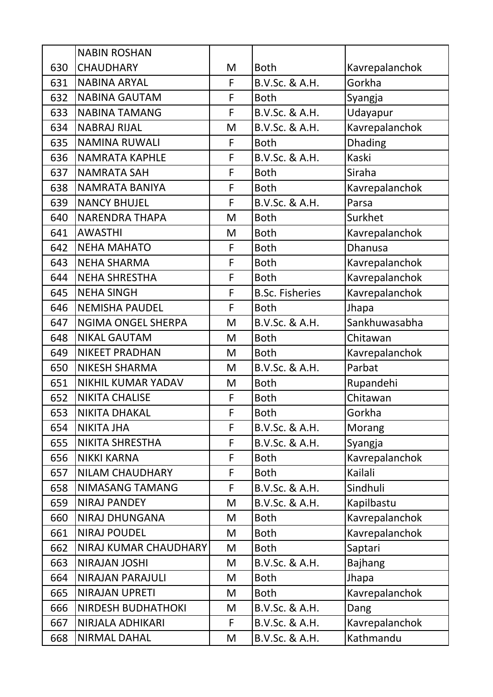|     | <b>NABIN ROSHAN</b>       |   |                        |                |
|-----|---------------------------|---|------------------------|----------------|
| 630 | <b>CHAUDHARY</b>          | M | <b>Both</b>            | Kavrepalanchok |
| 631 | <b>NABINA ARYAL</b>       | F | B.V.Sc. & A.H.         | Gorkha         |
| 632 | <b>NABINA GAUTAM</b>      | F | <b>Both</b>            | Syangja        |
| 633 | <b>NABINA TAMANG</b>      | F | B.V.Sc. & A.H.         | Udayapur       |
| 634 | <b>NABRAJ RIJAL</b>       | M | B.V.Sc. & A.H.         | Kavrepalanchok |
| 635 | <b>NAMINA RUWALI</b>      | F | <b>Both</b>            | <b>Dhading</b> |
| 636 | <b>NAMRATA KAPHLE</b>     | F | B.V.Sc. & A.H.         | <b>Kaski</b>   |
| 637 | <b>NAMRATA SAH</b>        | F | <b>Both</b>            | Siraha         |
| 638 | NAMRATA BANIYA            | F | <b>Both</b>            | Kavrepalanchok |
| 639 | <b>NANCY BHUJEL</b>       | F | B.V.Sc. & A.H.         | Parsa          |
| 640 | <b>NARENDRA THAPA</b>     | M | <b>Both</b>            | Surkhet        |
| 641 | <b>AWASTHI</b>            | M | <b>Both</b>            | Kavrepalanchok |
| 642 | <b>NEHA MAHATO</b>        | F | <b>Both</b>            | <b>Dhanusa</b> |
| 643 | <b>NEHA SHARMA</b>        | F | <b>Both</b>            | Kavrepalanchok |
| 644 | <b>NEHA SHRESTHA</b>      | F | <b>Both</b>            | Kavrepalanchok |
| 645 | <b>NEHA SINGH</b>         | F | <b>B.Sc. Fisheries</b> | Kavrepalanchok |
| 646 | <b>NEMISHA PAUDEL</b>     | F | <b>Both</b>            | Jhapa          |
| 647 | <b>NGIMA ONGEL SHERPA</b> | M | B.V.Sc. & A.H.         | Sankhuwasabha  |
| 648 | <b>NIKAL GAUTAM</b>       | M | <b>Both</b>            | Chitawan       |
| 649 | <b>NIKEET PRADHAN</b>     | M | <b>Both</b>            | Kavrepalanchok |
| 650 | <b>NIKESH SHARMA</b>      | M | B.V.Sc. & A.H.         | Parbat         |
| 651 | NIKHIL KUMAR YADAV        | M | <b>Both</b>            | Rupandehi      |
| 652 | <b>NIKITA CHALISE</b>     | F | <b>Both</b>            | Chitawan       |
| 653 | <b>NIKITA DHAKAL</b>      | F | <b>Both</b>            | Gorkha         |
| 654 | <b>NIKITA JHA</b>         | F | B.V.Sc. & A.H.         | Morang         |
| 655 | NIKITA SHRESTHA           | F | B.V.Sc. & A.H.         | Syangja        |
| 656 | <b>NIKKI KARNA</b>        | F | <b>Both</b>            | Kavrepalanchok |
| 657 | <b>NILAM CHAUDHARY</b>    | F | <b>Both</b>            | Kailali        |
| 658 | NIMASANG TAMANG           | F | B.V.Sc. & A.H.         | Sindhuli       |
| 659 | <b>NIRAJ PANDEY</b>       | M | B.V.Sc. & A.H.         | Kapilbastu     |
| 660 | <b>NIRAJ DHUNGANA</b>     | M | <b>Both</b>            | Kavrepalanchok |
| 661 | <b>NIRAJ POUDEL</b>       | M | <b>Both</b>            | Kavrepalanchok |
| 662 | NIRAJ KUMAR CHAUDHARY     | M | <b>Both</b>            | Saptari        |
| 663 | <b>NIRAJAN JOSHI</b>      | M | B.V.Sc. & A.H.         | <b>Bajhang</b> |
| 664 | <b>NIRAJAN PARAJULI</b>   | M | <b>Both</b>            | Jhapa          |
| 665 | <b>NIRAJAN UPRETI</b>     | M | <b>Both</b>            | Kavrepalanchok |
| 666 | <b>NIRDESH BUDHATHOKI</b> | M | B.V.Sc. & A.H.         | Dang           |
| 667 | NIRJALA ADHIKARI          | F | B.V.Sc. & A.H.         | Kavrepalanchok |
| 668 | NIRMAL DAHAL              | M | B.V.Sc. & A.H.         | Kathmandu      |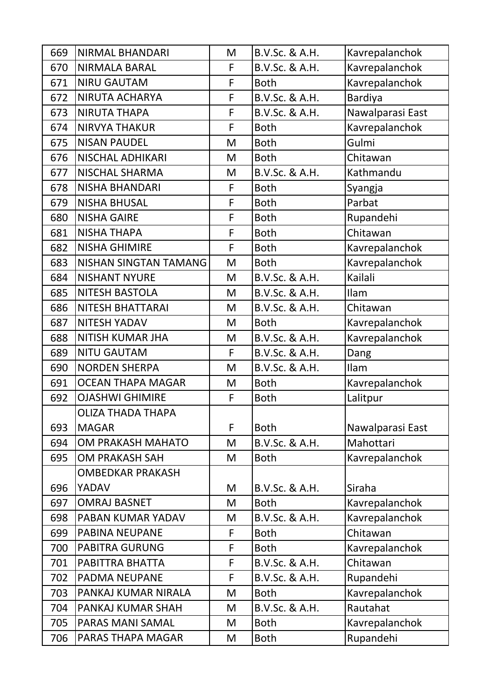| 669 | <b>NIRMAL BHANDARI</b>   | M | B.V.Sc. & A.H. | Kavrepalanchok   |
|-----|--------------------------|---|----------------|------------------|
| 670 | <b>NIRMALA BARAL</b>     | F | B.V.Sc. & A.H. | Kavrepalanchok   |
| 671 | <b>NIRU GAUTAM</b>       | F | <b>Both</b>    | Kavrepalanchok   |
| 672 | NIRUTA ACHARYA           | F | B.V.Sc. & A.H. | <b>Bardiya</b>   |
| 673 | <b>NIRUTA THAPA</b>      | F | B.V.Sc. & A.H. | Nawalparasi East |
| 674 | <b>NIRVYA THAKUR</b>     | F | <b>Both</b>    | Kavrepalanchok   |
| 675 | <b>NISAN PAUDEL</b>      | M | <b>Both</b>    | Gulmi            |
| 676 | <b>NISCHAL ADHIKARI</b>  | M | <b>Both</b>    | Chitawan         |
| 677 | <b>NISCHAL SHARMA</b>    | M | B.V.Sc. & A.H. | Kathmandu        |
| 678 | <b>NISHA BHANDARI</b>    | F | <b>Both</b>    | Syangja          |
| 679 | <b>NISHA BHUSAL</b>      | F | <b>Both</b>    | Parbat           |
| 680 | <b>NISHA GAIRE</b>       | F | <b>Both</b>    | Rupandehi        |
| 681 | <b>NISHA THAPA</b>       | F | <b>Both</b>    | Chitawan         |
| 682 | <b>NISHA GHIMIRE</b>     | F | <b>Both</b>    | Kavrepalanchok   |
| 683 | NISHAN SINGTAN TAMANG    | M | <b>Both</b>    | Kavrepalanchok   |
| 684 | <b>NISHANT NYURE</b>     | M | B.V.Sc. & A.H. | Kailali          |
| 685 | <b>NITESH BASTOLA</b>    | M | B.V.Sc. & A.H. | Ilam             |
| 686 | <b>NITESH BHATTARAI</b>  | M | B.V.Sc. & A.H. | Chitawan         |
| 687 | <b>NITESH YADAV</b>      | M | <b>Both</b>    | Kavrepalanchok   |
| 688 | <b>NITISH KUMAR JHA</b>  | M | B.V.Sc. & A.H. | Kavrepalanchok   |
| 689 | <b>NITU GAUTAM</b>       | F | B.V.Sc. & A.H. | Dang             |
| 690 | <b>NORDEN SHERPA</b>     | M | B.V.Sc. & A.H. | Ilam             |
| 691 | <b>OCEAN THAPA MAGAR</b> | M | <b>Both</b>    | Kavrepalanchok   |
| 692 | <b>OJASHWI GHIMIRE</b>   | F | <b>Both</b>    | Lalitpur         |
|     |                          |   |                |                  |
|     | OLIZA THADA THAPA        |   |                |                  |
| 693 | <b>MAGAR</b>             | F | <b>Both</b>    | Nawalparasi East |
| 694 | OM PRAKASH MAHATO        | M | B.V.Sc. & A.H. | Mahottari        |
| 695 | <b>OM PRAKASH SAH</b>    | M | <b>Both</b>    | Kavrepalanchok   |
|     | <b>OMBEDKAR PRAKASH</b>  |   |                |                  |
| 696 | YADAV                    | M | B.V.Sc. & A.H. | Siraha           |
| 697 | <b>OMRAJ BASNET</b>      | M | <b>Both</b>    | Kavrepalanchok   |
| 698 | PABAN KUMAR YADAV        | M | B.V.Sc. & A.H. | Kavrepalanchok   |
| 699 | <b>PABINA NEUPANE</b>    | F | <b>Both</b>    | Chitawan         |
| 700 | <b>PABITRA GURUNG</b>    | F | <b>Both</b>    | Kavrepalanchok   |
| 701 | PABITTRA BHATTA          | F | B.V.Sc. & A.H. | Chitawan         |
| 702 | PADMA NEUPANE            | F | B.V.Sc. & A.H. | Rupandehi        |
| 703 | PANKAJ KUMAR NIRALA      | M | <b>Both</b>    | Kavrepalanchok   |
| 704 | PANKAJ KUMAR SHAH        | M | B.V.Sc. & A.H. | Rautahat         |
| 705 | PARAS MANI SAMAL         | M | <b>Both</b>    | Kavrepalanchok   |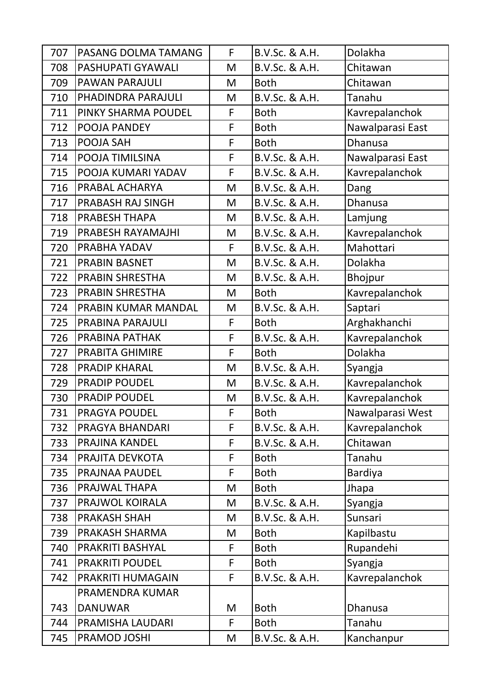| 707 | PASANG DOLMA TAMANG    | F | B.V.Sc. & A.H. | Dolakha          |
|-----|------------------------|---|----------------|------------------|
| 708 | PASHUPATI GYAWALI      | M | B.V.Sc. & A.H. | Chitawan         |
| 709 | PAWAN PARAJULI         | M | <b>Both</b>    | Chitawan         |
| 710 | PHADINDRA PARAJULI     | M | B.V.Sc. & A.H. | Tanahu           |
| 711 | PINKY SHARMA POUDEL    | F | <b>Both</b>    | Kavrepalanchok   |
| 712 | POOJA PANDEY           | F | <b>Both</b>    | Nawalparasi East |
| 713 | POOJA SAH              | F | <b>Both</b>    | <b>Dhanusa</b>   |
| 714 | POOJA TIMILSINA        | F | B.V.Sc. & A.H. | Nawalparasi East |
| 715 | POOJA KUMARI YADAV     | F | B.V.Sc. & A.H. | Kavrepalanchok   |
| 716 | PRABAL ACHARYA         | M | B.V.Sc. & A.H. | Dang             |
| 717 | PRABASH RAJ SINGH      | M | B.V.Sc. & A.H. | <b>Dhanusa</b>   |
| 718 | PRABESH THAPA          | M | B.V.Sc. & A.H. | Lamjung          |
| 719 | PRABESH RAYAMAJHI      | M | B.V.Sc. & A.H. | Kavrepalanchok   |
| 720 | PRABHA YADAV           | F | B.V.Sc. & A.H. | Mahottari        |
| 721 | PRABIN BASNET          | M | B.V.Sc. & A.H. | Dolakha          |
| 722 | PRABIN SHRESTHA        | M | B.V.Sc. & A.H. | Bhojpur          |
| 723 | <b>PRABIN SHRESTHA</b> | M | <b>Both</b>    | Kavrepalanchok   |
| 724 | PRABIN KUMAR MANDAL    | M | B.V.Sc. & A.H. | Saptari          |
| 725 | PRABINA PARAJULI       | F | <b>Both</b>    | Arghakhanchi     |
| 726 | PRABINA PATHAK         | F | B.V.Sc. & A.H. | Kavrepalanchok   |
| 727 | <b>PRABITA GHIMIRE</b> | F | <b>Both</b>    | Dolakha          |
| 728 | <b>PRADIP KHARAL</b>   | M | B.V.Sc. & A.H. | Syangja          |
| 729 | <b>PRADIP POUDEL</b>   | M | B.V.Sc. & A.H. | Kavrepalanchok   |
| 730 | <b>PRADIP POUDEL</b>   | M | B.V.Sc. & A.H. | Kavrepalanchok   |
| 731 | PRAGYA POUDEL          | F | <b>Both</b>    | Nawalparasi West |
| 732 | PRAGYA BHANDARI        | F | B.V.Sc. & A.H. | Kavrepalanchok   |
| 733 | PRAJINA KANDEL         | F | B.V.Sc. & A.H. | Chitawan         |
| 734 | PRAJITA DEVKOTA        | F | <b>Both</b>    | Tanahu           |
| 735 | PRAJNAA PAUDEL         | F | <b>Both</b>    | Bardiya          |
| 736 | PRAJWAL THAPA          | M | <b>Both</b>    | Jhapa            |
| 737 |                        |   |                |                  |
|     | PRAJWOL KOIRALA        | M | B.V.Sc. & A.H. | Syangja          |
| 738 | <b>PRAKASH SHAH</b>    | M | B.V.Sc. & A.H. | Sunsari          |
| 739 | PRAKASH SHARMA         | M | <b>Both</b>    | Kapilbastu       |
| 740 | PRAKRITI BASHYAL       | F | <b>Both</b>    | Rupandehi        |
| 741 | <b>PRAKRITI POUDEL</b> | F | <b>Both</b>    | Syangja          |
| 742 | PRAKRITI HUMAGAIN      | F | B.V.Sc. & A.H. | Kavrepalanchok   |
|     | PRAMENDRA KUMAR        |   |                |                  |
| 743 | <b>DANUWAR</b>         | M | <b>Both</b>    | Dhanusa          |
| 744 | PRAMISHA LAUDARI       | F | <b>Both</b>    | Tanahu           |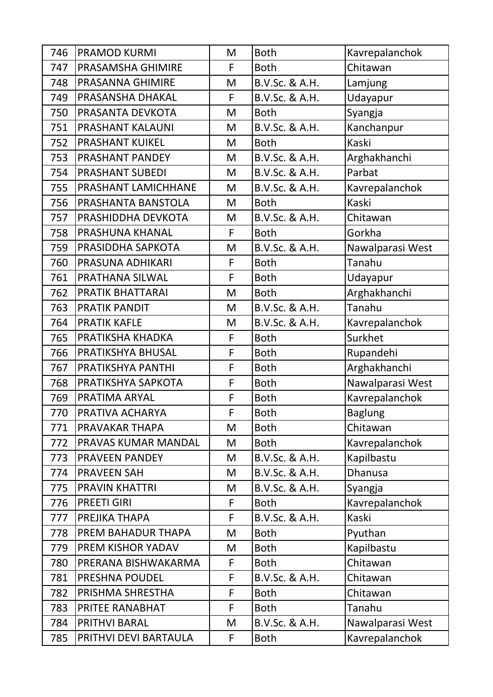| 746 | <b>PRAMOD KURMI</b>    | M | <b>Both</b>    | Kavrepalanchok   |
|-----|------------------------|---|----------------|------------------|
| 747 | PRASAMSHA GHIMIRE      | F | <b>Both</b>    | Chitawan         |
| 748 | PRASANNA GHIMIRE       | M | B.V.Sc. & A.H. | Lamjung          |
| 749 | PRASANSHA DHAKAL       | F | B.V.Sc. & A.H. | Udayapur         |
| 750 | PRASANTA DEVKOTA       | M | <b>Both</b>    | Syangja          |
| 751 | PRASHANT KALAUNI       | M | B.V.Sc. & A.H. | Kanchanpur       |
| 752 | <b>PRASHANT KUIKEL</b> | M | <b>Both</b>    | Kaski            |
| 753 | PRASHANT PANDEY        | M | B.V.Sc. & A.H. | Arghakhanchi     |
| 754 | <b>PRASHANT SUBEDI</b> | M | B.V.Sc. & A.H. | Parbat           |
| 755 | PRASHANT LAMICHHANE    | M | B.V.Sc. & A.H. | Kavrepalanchok   |
| 756 | PRASHANTA BANSTOLA     | M | <b>Both</b>    | Kaski            |
| 757 | PRASHIDDHA DEVKOTA     | M | B.V.Sc. & A.H. | Chitawan         |
| 758 | PRASHUNA KHANAL        | F | <b>Both</b>    | Gorkha           |
| 759 | PRASIDDHA SAPKOTA      | M | B.V.Sc. & A.H. | Nawalparasi West |
| 760 | PRASUNA ADHIKARI       | F | <b>Both</b>    | Tanahu           |
| 761 | PRATHANA SILWAL        | F | <b>Both</b>    | Udayapur         |
| 762 | PRATIK BHATTARAI       | M | <b>Both</b>    | Arghakhanchi     |
| 763 | <b>PRATIK PANDIT</b>   | M | B.V.Sc. & A.H. | Tanahu           |
| 764 | <b>PRATIK KAFLE</b>    | M | B.V.Sc. & A.H. | Kavrepalanchok   |
| 765 | PRATIKSHA KHADKA       | F | <b>Both</b>    | Surkhet          |
| 766 | PRATIKSHYA BHUSAL      | F | <b>Both</b>    | Rupandehi        |
| 767 | PRATIKSHYA PANTHI      | F | <b>Both</b>    | Arghakhanchi     |
| 768 | PRATIKSHYA SAPKOTA     | F | <b>Both</b>    | Nawalparasi West |
| 769 | PRATIMA ARYAL          | F | <b>Both</b>    | Kavrepalanchok   |
| 770 | PRATIVA ACHARYA        | F | <b>Both</b>    | <b>Baglung</b>   |
| 771 | PRAVAKAR THAPA         | M | <b>Both</b>    | Chitawan         |
| 772 | PRAVAS KUMAR MANDAL    | M | <b>Both</b>    | Kavrepalanchok   |
| 773 | PRAVEEN PANDEY         | M | B.V.Sc. & A.H. | Kapilbastu       |
| 774 | <b>PRAVEEN SAH</b>     | M | B.V.Sc. & A.H. | <b>Dhanusa</b>   |
| 775 | <b>PRAVIN KHATTRI</b>  | M | B.V.Sc. & A.H. | Syangja          |
| 776 | <b>PREETI GIRI</b>     | F | <b>Both</b>    | Kavrepalanchok   |
| 777 | PREJIKA THAPA          | F | B.V.Sc. & A.H. | Kaski            |
| 778 | PREM BAHADUR THAPA     | M | <b>Both</b>    | Pyuthan          |
| 779 | PREM KISHOR YADAV      | M | <b>Both</b>    | Kapilbastu       |
| 780 | PRERANA BISHWAKARMA    | F | <b>Both</b>    | Chitawan         |
| 781 | PRESHNA POUDEL         | F | B.V.Sc. & A.H. | Chitawan         |
| 782 | PRISHMA SHRESTHA       | F | <b>Both</b>    | Chitawan         |
| 783 | PRITEE RANABHAT        | F | <b>Both</b>    | Tanahu           |
| 784 | PRITHVI BARAL          | M | B.V.Sc. & A.H. | Nawalparasi West |
| 785 | PRITHVI DEVI BARTAULA  | F | <b>Both</b>    | Kavrepalanchok   |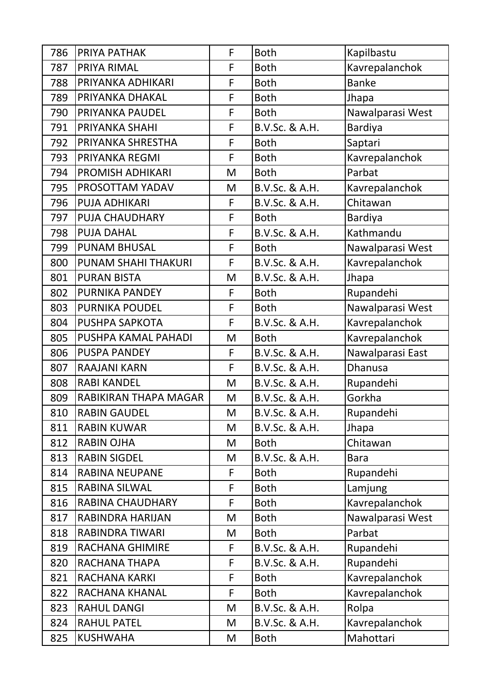| 786 | PRIYA PATHAK            | F | <b>Both</b>    | Kapilbastu       |
|-----|-------------------------|---|----------------|------------------|
| 787 | PRIYA RIMAL             | F | <b>Both</b>    | Kavrepalanchok   |
| 788 | PRIYANKA ADHIKARI       | F | <b>Both</b>    | <b>Banke</b>     |
| 789 | PRIYANKA DHAKAL         | F | <b>Both</b>    | Jhapa            |
| 790 | PRIYANKA PAUDEL         | F | <b>Both</b>    | Nawalparasi West |
| 791 | PRIYANKA SHAHI          | F | B.V.Sc. & A.H. | <b>Bardiya</b>   |
| 792 | PRIYANKA SHRESTHA       | F | <b>Both</b>    | Saptari          |
| 793 | PRIYANKA REGMI          | F | <b>Both</b>    | Kavrepalanchok   |
| 794 | PROMISH ADHIKARI        | M | <b>Both</b>    | Parbat           |
| 795 | PROSOTTAM YADAV         | M | B.V.Sc. & A.H. | Kavrepalanchok   |
| 796 | <b>PUJA ADHIKARI</b>    | F | B.V.Sc. & A.H. | Chitawan         |
| 797 | PUJA CHAUDHARY          | F | <b>Both</b>    | <b>Bardiya</b>   |
| 798 | <b>PUJA DAHAL</b>       | F | B.V.Sc. & A.H. | Kathmandu        |
| 799 | <b>PUNAM BHUSAL</b>     | F | <b>Both</b>    | Nawalparasi West |
| 800 | PUNAM SHAHI THAKURI     | F | B.V.Sc. & A.H. | Kavrepalanchok   |
| 801 | <b>PURAN BISTA</b>      | M | B.V.Sc. & A.H. | Jhapa            |
| 802 | PURNIKA PANDEY          | F | <b>Both</b>    | Rupandehi        |
| 803 | PURNIKA POUDEL          | F | <b>Both</b>    | Nawalparasi West |
| 804 | PUSHPA SAPKOTA          | F | B.V.Sc. & A.H. | Kavrepalanchok   |
| 805 | PUSHPA KAMAL PAHADI     | M | <b>Both</b>    | Kavrepalanchok   |
| 806 | <b>PUSPA PANDEY</b>     | F | B.V.Sc. & A.H. | Nawalparasi East |
| 807 | <b>RAAJANI KARN</b>     | F | B.V.Sc. & A.H. | <b>Dhanusa</b>   |
| 808 | <b>RABI KANDEL</b>      | M | B.V.Sc. & A.H. | Rupandehi        |
| 809 | RABIKIRAN THAPA MAGAR   | M | B.V.Sc. & A.H. | Gorkha           |
| 810 | <b>RABIN GAUDEL</b>     | M | B.V.Sc. & A.H. | Rupandehi        |
| 811 | <b>RABIN KUWAR</b>      | M | B.V.Sc. & A.H. | Jhapa            |
| 812 | <b>RABIN OJHA</b>       | M | <b>Both</b>    | Chitawan         |
| 813 | <b>RABIN SIGDEL</b>     | M | B.V.Sc. & A.H. | <b>Bara</b>      |
| 814 | <b>RABINA NEUPANE</b>   | F | <b>Both</b>    | Rupandehi        |
| 815 | <b>RABINA SILWAL</b>    | F | <b>Both</b>    | Lamjung          |
| 816 | <b>RABINA CHAUDHARY</b> | F | <b>Both</b>    | Kavrepalanchok   |
| 817 | RABINDRA HARIJAN        | M | <b>Both</b>    | Nawalparasi West |
| 818 | RABINDRA TIWARI         | M | <b>Both</b>    | Parbat           |
| 819 | <b>RACHANA GHIMIRE</b>  | F | B.V.Sc. & A.H. | Rupandehi        |
| 820 | RACHANA THAPA           | F | B.V.Sc. & A.H. | Rupandehi        |
| 821 | <b>RACHANA KARKI</b>    | F | <b>Both</b>    | Kavrepalanchok   |
| 822 | RACHANA KHANAL          | F | <b>Both</b>    | Kavrepalanchok   |
| 823 | <b>RAHUL DANGI</b>      | M | B.V.Sc. & A.H. | Rolpa            |
| 824 | <b>RAHUL PATEL</b>      | M | B.V.Sc. & A.H. | Kavrepalanchok   |
| 825 | <b>KUSHWAHA</b>         | M | <b>Both</b>    | Mahottari        |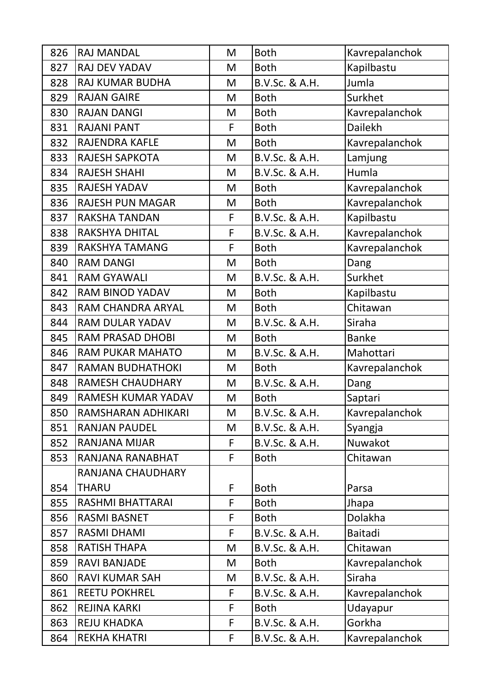| 826 | <b>RAJ MANDAL</b>       | M | <b>Both</b>    | Kavrepalanchok |
|-----|-------------------------|---|----------------|----------------|
| 827 | <b>RAJ DEV YADAV</b>    | M | <b>Both</b>    | Kapilbastu     |
| 828 | RAJ KUMAR BUDHA         | M | B.V.Sc. & A.H. | Jumla          |
| 829 | <b>RAJAN GAIRE</b>      | M | <b>Both</b>    | Surkhet        |
| 830 | <b>RAJAN DANGI</b>      | M | <b>Both</b>    | Kavrepalanchok |
| 831 | <b>RAJANI PANT</b>      | F | <b>Both</b>    | <b>Dailekh</b> |
| 832 | <b>RAJENDRA KAFLE</b>   | M | <b>Both</b>    | Kavrepalanchok |
| 833 | <b>RAJESH SAPKOTA</b>   | M | B.V.Sc. & A.H. | Lamjung        |
| 834 | <b>RAJESH SHAHI</b>     | M | B.V.Sc. & A.H. | Humla          |
| 835 | <b>RAJESH YADAV</b>     | M | <b>Both</b>    | Kavrepalanchok |
| 836 | <b>RAJESH PUN MAGAR</b> | M | <b>Both</b>    | Kavrepalanchok |
| 837 | <b>RAKSHA TANDAN</b>    | F | B.V.Sc. & A.H. | Kapilbastu     |
| 838 | RAKSHYA DHITAL          | F | B.V.Sc. & A.H. | Kavrepalanchok |
| 839 | RAKSHYA TAMANG          | F | <b>Both</b>    | Kavrepalanchok |
| 840 | <b>RAM DANGI</b>        | M | <b>Both</b>    | Dang           |
| 841 | <b>RAM GYAWALI</b>      | M | B.V.Sc. & A.H. | Surkhet        |
| 842 | <b>RAM BINOD YADAV</b>  | M | <b>Both</b>    | Kapilbastu     |
| 843 | RAM CHANDRA ARYAL       | M | <b>Both</b>    | Chitawan       |
| 844 | <b>RAM DULAR YADAV</b>  | M | B.V.Sc. & A.H. | Siraha         |
| 845 | <b>RAM PRASAD DHOBI</b> | M | <b>Both</b>    | <b>Banke</b>   |
| 846 | <b>RAM PUKAR MAHATO</b> | M | B.V.Sc. & A.H. | Mahottari      |
| 847 | <b>RAMAN BUDHATHOKI</b> | M | <b>Both</b>    | Kavrepalanchok |
| 848 | <b>RAMESH CHAUDHARY</b> | M | B.V.Sc. & A.H. | Dang           |
| 849 | RAMESH KUMAR YADAV      | M | <b>Both</b>    | Saptari        |
| 850 | RAMSHARAN ADHIKARI      | M | B.V.Sc. & A.H. | Kavrepalanchok |
| 851 | <b>RANJAN PAUDEL</b>    | M | B.V.Sc. & A.H. | Syangja        |
| 852 | RANJANA MIJAR           | F | B.V.Sc. & A.H. | Nuwakot        |
| 853 | RANJANA RANABHAT        | F | <b>Both</b>    | Chitawan       |
|     | RANJANA CHAUDHARY       |   |                |                |
| 854 | <b>THARU</b>            | F | <b>Both</b>    | Parsa          |
| 855 | RASHMI BHATTARAI        | F | <b>Both</b>    | Jhapa          |
| 856 | <b>RASMI BASNET</b>     | F | <b>Both</b>    | Dolakha        |
| 857 | <b>RASMI DHAMI</b>      | F | B.V.Sc. & A.H. | Baitadi        |
| 858 | <b>RATISH THAPA</b>     | M | B.V.Sc. & A.H. | Chitawan       |
| 859 | <b>RAVI BANJADE</b>     | M | <b>Both</b>    | Kavrepalanchok |
| 860 | <b>RAVI KUMAR SAH</b>   | M | B.V.Sc. & A.H. | Siraha         |
| 861 | <b>REETU POKHREL</b>    | F | B.V.Sc. & A.H. | Kavrepalanchok |
| 862 | <b>REJINA KARKI</b>     | F | <b>Both</b>    | Udayapur       |
| 863 | <b>REJU KHADKA</b>      | F | B.V.Sc. & A.H. | Gorkha         |
| 864 | <b>REKHA KHATRI</b>     | F | B.V.Sc. & A.H. | Kavrepalanchok |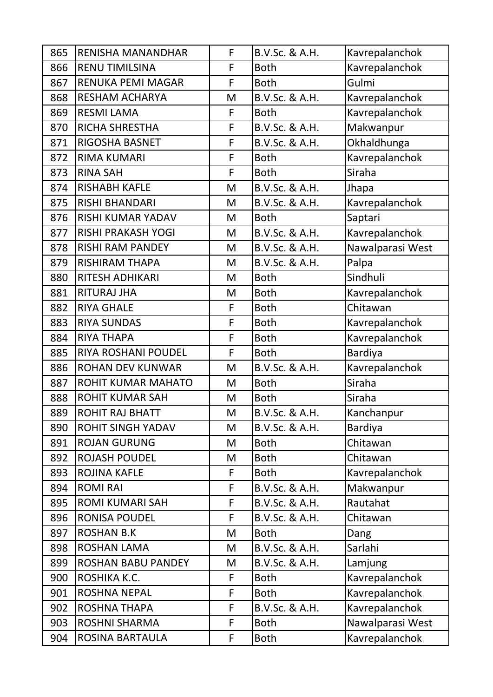| 865 | RENISHA MANANDHAR          | F | B.V.Sc. & A.H. | Kavrepalanchok   |
|-----|----------------------------|---|----------------|------------------|
| 866 | <b>RENU TIMILSINA</b>      | F | <b>Both</b>    | Kavrepalanchok   |
| 867 | RENUKA PEMI MAGAR          | F | <b>Both</b>    | Gulmi            |
| 868 | <b>RESHAM ACHARYA</b>      | M | B.V.Sc. & A.H. | Kavrepalanchok   |
| 869 | <b>RESMI LAMA</b>          | F | <b>Both</b>    | Kavrepalanchok   |
| 870 | RICHA SHRESTHA             | F | B.V.Sc. & A.H. | Makwanpur        |
| 871 | RIGOSHA BASNET             | F | B.V.Sc. & A.H. | Okhaldhunga      |
| 872 | <b>RIMA KUMARI</b>         | F | <b>Both</b>    | Kavrepalanchok   |
| 873 | <b>RINA SAH</b>            | F | <b>Both</b>    | Siraha           |
| 874 | <b>RISHABH KAFLE</b>       | M | B.V.Sc. & A.H. | Jhapa            |
| 875 | <b>RISHI BHANDARI</b>      | M | B.V.Sc. & A.H. | Kavrepalanchok   |
| 876 | <b>RISHI KUMAR YADAV</b>   | M | <b>Both</b>    | Saptari          |
| 877 | <b>RISHI PRAKASH YOGI</b>  | M | B.V.Sc. & A.H. | Kavrepalanchok   |
| 878 | <b>RISHI RAM PANDEY</b>    | M | B.V.Sc. & A.H. | Nawalparasi West |
| 879 | <b>RISHIRAM THAPA</b>      | M | B.V.Sc. & A.H. | Palpa            |
| 880 | <b>RITESH ADHIKARI</b>     | M | <b>Both</b>    | Sindhuli         |
| 881 | <b>RITURAJ JHA</b>         | M | <b>Both</b>    | Kavrepalanchok   |
| 882 | <b>RIYA GHALE</b>          | F | <b>Both</b>    | Chitawan         |
| 883 | <b>RIYA SUNDAS</b>         | F | <b>Both</b>    | Kavrepalanchok   |
| 884 | <b>RIYA THAPA</b>          | F | <b>Both</b>    | Kavrepalanchok   |
| 885 | <b>RIYA ROSHANI POUDEL</b> | F | <b>Both</b>    | <b>Bardiya</b>   |
| 886 | <b>ROHAN DEV KUNWAR</b>    | M | B.V.Sc. & A.H. | Kavrepalanchok   |
| 887 | ROHIT KUMAR MAHATO         | M | <b>Both</b>    | Siraha           |
| 888 | <b>ROHIT KUMAR SAH</b>     | M | <b>Both</b>    | Siraha           |
| 889 | <b>ROHIT RAJ BHATT</b>     | M | B.V.Sc. & A.H. | Kanchanpur       |
| 890 | <b>ROHIT SINGH YADAV</b>   | M | B.V.Sc. & A.H. | <b>Bardiya</b>   |
| 891 | <b>ROJAN GURUNG</b>        | M | <b>Both</b>    | Chitawan         |
| 892 | <b>ROJASH POUDEL</b>       | M | <b>Both</b>    | Chitawan         |
| 893 | <b>ROJINA KAFLE</b>        | F | <b>Both</b>    | Kavrepalanchok   |
| 894 | <b>ROMI RAI</b>            | F | B.V.Sc. & A.H. | Makwanpur        |
| 895 | <b>ROMI KUMARI SAH</b>     | F | B.V.Sc. & A.H. | Rautahat         |
| 896 | <b>RONISA POUDEL</b>       | F | B.V.Sc. & A.H. | Chitawan         |
| 897 | <b>ROSHAN B.K</b>          | M | <b>Both</b>    | Dang             |
| 898 | <b>ROSHAN LAMA</b>         | M | B.V.Sc. & A.H. | Sarlahi          |
| 899 | <b>ROSHAN BABU PANDEY</b>  | M | B.V.Sc. & A.H. | Lamjung          |
| 900 | ROSHIKA K.C.               | F | <b>Both</b>    | Kavrepalanchok   |
| 901 | <b>ROSHNA NEPAL</b>        | F | <b>Both</b>    | Kavrepalanchok   |
| 902 | <b>ROSHNA THAPA</b>        | F | B.V.Sc. & A.H. | Kavrepalanchok   |
| 903 | <b>ROSHNI SHARMA</b>       | F | <b>Both</b>    | Nawalparasi West |
| 904 | ROSINA BARTAULA            | F | <b>Both</b>    | Kavrepalanchok   |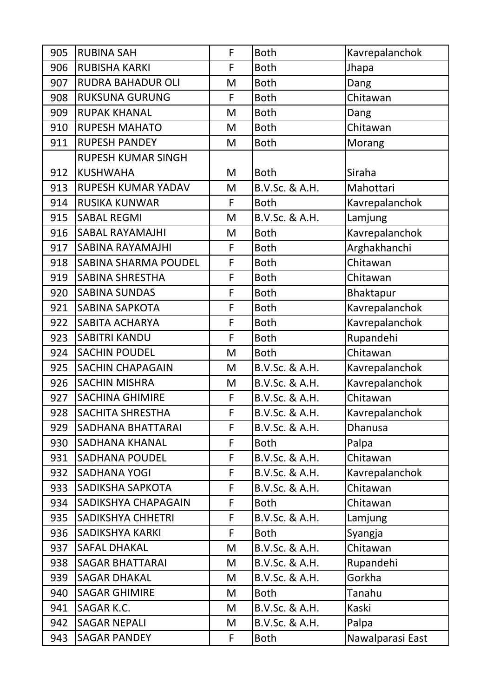| 905 | <b>RUBINA SAH</b>           | F | <b>Both</b>    | Kavrepalanchok   |
|-----|-----------------------------|---|----------------|------------------|
| 906 | <b>RUBISHA KARKI</b>        | F | <b>Both</b>    | Jhapa            |
| 907 | <b>RUDRA BAHADUR OLI</b>    | M | <b>Both</b>    | Dang             |
| 908 | <b>RUKSUNA GURUNG</b>       | F | <b>Both</b>    | Chitawan         |
| 909 | <b>RUPAK KHANAL</b>         | M | <b>Both</b>    | Dang             |
| 910 | <b>RUPESH MAHATO</b>        | M | <b>Both</b>    | Chitawan         |
| 911 | <b>RUPESH PANDEY</b>        | M | <b>Both</b>    | Morang           |
|     | <b>RUPESH KUMAR SINGH</b>   |   |                |                  |
| 912 | <b>KUSHWAHA</b>             | M | <b>Both</b>    | Siraha           |
| 913 | RUPESH KUMAR YADAV          | M | B.V.Sc. & A.H. | Mahottari        |
| 914 | <b>RUSIKA KUNWAR</b>        | F | <b>Both</b>    | Kavrepalanchok   |
| 915 | <b>SABAL REGMI</b>          | M | B.V.Sc. & A.H. | Lamjung          |
| 916 | <b>SABAL RAYAMAJHI</b>      | M | <b>Both</b>    | Kavrepalanchok   |
| 917 | <b>SABINA RAYAMAJHI</b>     | F | <b>Both</b>    | Arghakhanchi     |
| 918 | <b>SABINA SHARMA POUDEL</b> | F | <b>Both</b>    | Chitawan         |
| 919 | <b>SABINA SHRESTHA</b>      | F | <b>Both</b>    | Chitawan         |
| 920 | <b>SABINA SUNDAS</b>        | F | <b>Both</b>    | <b>Bhaktapur</b> |
| 921 | <b>SABINA SAPKOTA</b>       | F | <b>Both</b>    | Kavrepalanchok   |
| 922 | <b>SABITA ACHARYA</b>       | F | <b>Both</b>    | Kavrepalanchok   |
| 923 | <b>SABITRI KANDU</b>        | F | <b>Both</b>    | Rupandehi        |
| 924 | <b>SACHIN POUDEL</b>        | M | <b>Both</b>    | Chitawan         |
| 925 | <b>SACHIN CHAPAGAIN</b>     | M | B.V.Sc. & A.H. | Kavrepalanchok   |
| 926 | <b>SACHIN MISHRA</b>        | M | B.V.Sc. & A.H. | Kavrepalanchok   |
| 927 | <b>SACHINA GHIMIRE</b>      | F | B.V.Sc. & A.H. | Chitawan         |
| 928 | SACHITA SHRESTHA            | F | B.V.Sc. & A.H. | Kavrepalanchok   |
| 929 | SADHANA BHATTARAI           | F | B.V.Sc. & A.H. | Dhanusa          |
| 930 | <b>SADHANA KHANAL</b>       | F | <b>Both</b>    | Palpa            |
| 931 | <b>SADHANA POUDEL</b>       | F | B.V.Sc. & A.H. | Chitawan         |
| 932 | <b>SADHANA YOGI</b>         | F | B.V.Sc. & A.H. | Kavrepalanchok   |
| 933 | SADIKSHA SAPKOTA            | F | B.V.Sc. & A.H. | Chitawan         |
| 934 | SADIKSHYA CHAPAGAIN         | F | <b>Both</b>    | Chitawan         |
| 935 | <b>SADIKSHYA CHHETRI</b>    | F | B.V.Sc. & A.H. | Lamjung          |
| 936 | <b>SADIKSHYA KARKI</b>      | F | <b>Both</b>    | Syangja          |
| 937 | <b>SAFAL DHAKAL</b>         | M | B.V.Sc. & A.H. | Chitawan         |
| 938 | <b>SAGAR BHATTARAI</b>      | M | B.V.Sc. & A.H. | Rupandehi        |
| 939 | <b>SAGAR DHAKAL</b>         | M | B.V.Sc. & A.H. | Gorkha           |
| 940 | <b>SAGAR GHIMIRE</b>        | M | <b>Both</b>    | Tanahu           |
| 941 | SAGAR K.C.                  | M | B.V.Sc. & A.H. | Kaski            |
| 942 | <b>SAGAR NEPALI</b>         | M | B.V.Sc. & A.H. | Palpa            |
| 943 | <b>SAGAR PANDEY</b>         | F | <b>Both</b>    | Nawalparasi East |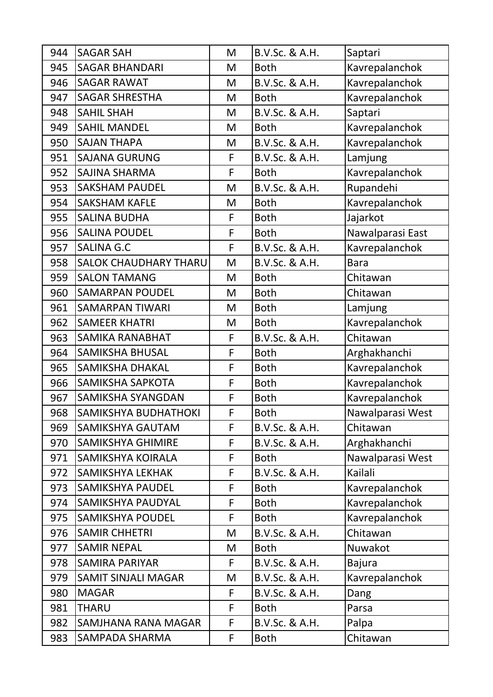| 944 | <b>SAGAR SAH</b>             | M | B.V.Sc. & A.H. | Saptari          |
|-----|------------------------------|---|----------------|------------------|
| 945 | <b>SAGAR BHANDARI</b>        | M | <b>Both</b>    | Kavrepalanchok   |
| 946 | <b>SAGAR RAWAT</b>           | M | B.V.Sc. & A.H. | Kavrepalanchok   |
| 947 | <b>SAGAR SHRESTHA</b>        | M | <b>Both</b>    | Kavrepalanchok   |
| 948 | <b>SAHIL SHAH</b>            | M | B.V.Sc. & A.H. | Saptari          |
| 949 | <b>SAHIL MANDEL</b>          | M | <b>Both</b>    | Kavrepalanchok   |
| 950 | <b>SAJAN THAPA</b>           | M | B.V.Sc. & A.H. | Kavrepalanchok   |
| 951 | <b>SAJANA GURUNG</b>         | F | B.V.Sc. & A.H. | Lamjung          |
| 952 | SAJINA SHARMA                | F | <b>Both</b>    | Kavrepalanchok   |
| 953 | <b>SAKSHAM PAUDEL</b>        | M | B.V.Sc. & A.H. | Rupandehi        |
| 954 | <b>SAKSHAM KAFLE</b>         | M | <b>Both</b>    | Kavrepalanchok   |
| 955 | <b>SALINA BUDHA</b>          | F | <b>Both</b>    | Jajarkot         |
| 956 | <b>SALINA POUDEL</b>         | F | <b>Both</b>    | Nawalparasi East |
| 957 | <b>SALINA G.C</b>            | F | B.V.Sc. & A.H. | Kavrepalanchok   |
| 958 | <b>SALOK CHAUDHARY THARU</b> | M | B.V.Sc. & A.H. | <b>Bara</b>      |
| 959 | <b>SALON TAMANG</b>          | M | <b>Both</b>    | Chitawan         |
| 960 | <b>SAMARPAN POUDEL</b>       | M | <b>Both</b>    | Chitawan         |
| 961 | <b>SAMARPAN TIWARI</b>       | M | <b>Both</b>    | Lamjung          |
| 962 | <b>SAMEER KHATRI</b>         | M | <b>Both</b>    | Kavrepalanchok   |
| 963 | <b>SAMIKA RANABHAT</b>       | F | B.V.Sc. & A.H. | Chitawan         |
| 964 | <b>SAMIKSHA BHUSAL</b>       | F | <b>Both</b>    | Arghakhanchi     |
| 965 | <b>SAMIKSHA DHAKAL</b>       | F | <b>Both</b>    | Kavrepalanchok   |
| 966 | SAMIKSHA SAPKOTA             | F | <b>Both</b>    | Kavrepalanchok   |
| 967 | <b>SAMIKSHA SYANGDAN</b>     | F | <b>Both</b>    | Kavrepalanchok   |
| 968 | SAMIKSHYA BUDHATHOKI         | F | <b>Both</b>    | Nawalparasi West |
| 969 | <b>SAMIKSHYA GAUTAM</b>      | F | B.V.Sc. & A.H. | Chitawan         |
| 970 | <b>SAMIKSHYA GHIMIRE</b>     | F | B.V.Sc. & A.H. | Arghakhanchi     |
| 971 | <b>SAMIKSHYA KOIRALA</b>     | F | <b>Both</b>    | Nawalparasi West |
| 972 | <b>SAMIKSHYA LEKHAK</b>      | F | B.V.Sc. & A.H. | Kailali          |
| 973 | <b>SAMIKSHYA PAUDEL</b>      | F | <b>Both</b>    | Kavrepalanchok   |
| 974 | <b>SAMIKSHYA PAUDYAL</b>     | F | <b>Both</b>    | Kavrepalanchok   |
| 975 | <b>SAMIKSHYA POUDEL</b>      | F | <b>Both</b>    | Kavrepalanchok   |
| 976 | <b>SAMIR CHHETRI</b>         | M | B.V.Sc. & A.H. | Chitawan         |
| 977 | <b>SAMIR NEPAL</b>           | M | <b>Both</b>    | Nuwakot          |
| 978 | <b>SAMIRA PARIYAR</b>        | F | B.V.Sc. & A.H. | <b>Bajura</b>    |
| 979 | <b>SAMIT SINJALI MAGAR</b>   | M | B.V.Sc. & A.H. | Kavrepalanchok   |
| 980 | <b>MAGAR</b>                 | F | B.V.Sc. & A.H. | Dang             |
| 981 | <b>THARU</b>                 | F | <b>Both</b>    | Parsa            |
| 982 | SAMJHANA RANA MAGAR          | F | B.V.Sc. & A.H. | Palpa            |
| 983 | SAMPADA SHARMA               | F | <b>Both</b>    | Chitawan         |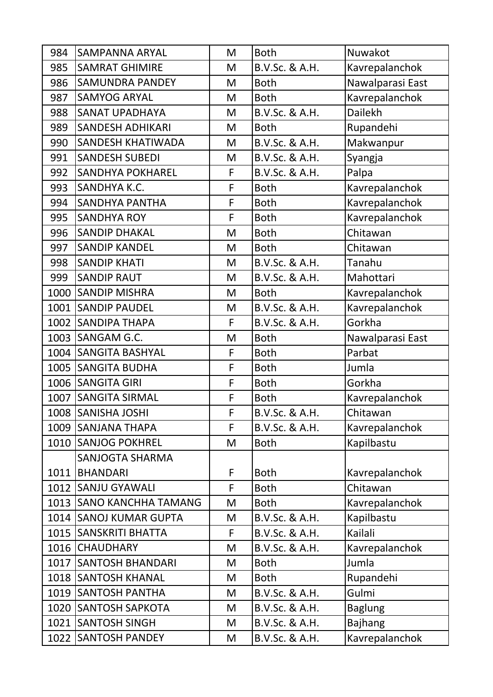| 984  | <b>SAMPANNA ARYAL</b>    | M | <b>Both</b>    | Nuwakot          |
|------|--------------------------|---|----------------|------------------|
| 985  | <b>SAMRAT GHIMIRE</b>    | M | B.V.Sc. & A.H. | Kavrepalanchok   |
| 986  | <b>SAMUNDRA PANDEY</b>   | M | <b>Both</b>    | Nawalparasi East |
| 987  | <b>SAMYOG ARYAL</b>      | M | <b>Both</b>    | Kavrepalanchok   |
| 988  | <b>SANAT UPADHAYA</b>    | M | B.V.Sc. & A.H. | <b>Dailekh</b>   |
| 989  | <b>SANDESH ADHIKARI</b>  | M | <b>Both</b>    | Rupandehi        |
| 990  | <b>SANDESH KHATIWADA</b> | M | B.V.Sc. & A.H. | Makwanpur        |
| 991  | <b>SANDESH SUBEDI</b>    | M | B.V.Sc. & A.H. | Syangja          |
| 992  | <b>SANDHYA POKHAREL</b>  | F | B.V.Sc. & A.H. | Palpa            |
| 993  | SANDHYA K.C.             | F | <b>Both</b>    | Kavrepalanchok   |
| 994  | <b>SANDHYA PANTHA</b>    | F | <b>Both</b>    | Kavrepalanchok   |
| 995  | <b>SANDHYA ROY</b>       | F | <b>Both</b>    | Kavrepalanchok   |
| 996  | <b>SANDIP DHAKAL</b>     | M | <b>Both</b>    | Chitawan         |
| 997  | <b>SANDIP KANDEL</b>     | M | <b>Both</b>    | Chitawan         |
| 998  | <b>SANDIP KHATI</b>      | M | B.V.Sc. & A.H. | Tanahu           |
| 999  | <b>SANDIP RAUT</b>       | M | B.V.Sc. & A.H. | Mahottari        |
| 1000 | <b>SANDIP MISHRA</b>     | M | <b>Both</b>    | Kavrepalanchok   |
|      | 1001 SANDIP PAUDEL       | M | B.V.Sc. & A.H. | Kavrepalanchok   |
|      | 1002 SANDIPA THAPA       | F | B.V.Sc. & A.H. | Gorkha           |
|      | 1003 SANGAM G.C.         | M | <b>Both</b>    | Nawalparasi East |
|      | 1004 SANGITA BASHYAL     | F | <b>Both</b>    | Parbat           |
|      | 1005 SANGITA BUDHA       | F | <b>Both</b>    | Jumla            |
|      | 1006   SANGITA GIRI      | F | <b>Both</b>    | Gorkha           |
|      | 1007 SANGITA SIRMAL      | F | <b>Both</b>    | Kavrepalanchok   |
|      | 1008 SANISHA JOSHI       | F | B.V.Sc. & A.H. | Chitawan         |
|      | 1009 SANJANA THAPA       | F | B.V.Sc. & A.H. | Kavrepalanchok   |
|      | 1010 SANJOG POKHREL      | M | <b>Both</b>    | Kapilbastu       |
|      | <b>SANJOGTA SHARMA</b>   |   |                |                  |
|      | 1011   BHANDARI          | F | <b>Both</b>    | Kavrepalanchok   |
|      | 1012 SANJU GYAWALI       | F | <b>Both</b>    | Chitawan         |
|      | 1013 SANO KANCHHA TAMANG | M | <b>Both</b>    | Kavrepalanchok   |
|      | 1014 SANOJ KUMAR GUPTA   | M | B.V.Sc. & A.H. | Kapilbastu       |
|      | 1015   SANSKRITI BHATTA  | F | B.V.Sc. & A.H. | Kailali          |
|      | 1016 CHAUDHARY           | M | B.V.Sc. & A.H. | Kavrepalanchok   |
|      | 1017 SANTOSH BHANDARI    | M | <b>Both</b>    | Jumla            |
|      | 1018 SANTOSH KHANAL      | M | <b>Both</b>    | Rupandehi        |
|      | 1019 SANTOSH PANTHA      | M | B.V.Sc. & A.H. | Gulmi            |
|      |                          |   | B.V.Sc. & A.H. |                  |
|      | 1020 SANTOSH SAPKOTA     | M |                | <b>Baglung</b>   |
|      | 1021   SANTOSH SINGH     | M | B.V.Sc. & A.H. | <b>Bajhang</b>   |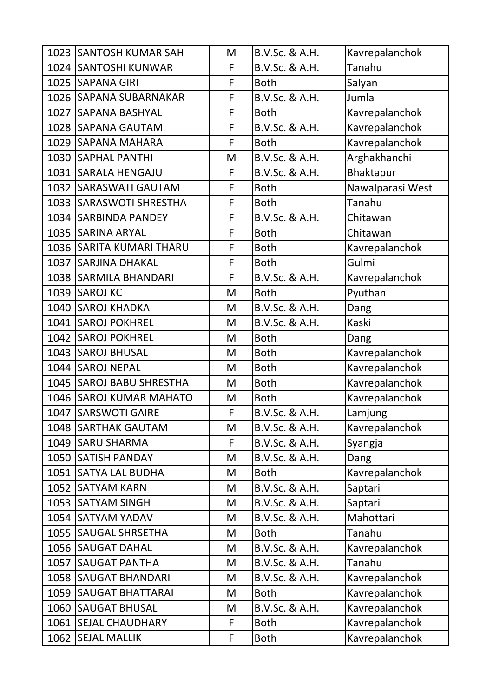| 1023 SANTOSH KUMAR SAH   | M | B.V.Sc. & A.H. | Kavrepalanchok   |
|--------------------------|---|----------------|------------------|
| 1024 SANTOSHI KUNWAR     | F | B.V.Sc. & A.H. | Tanahu           |
| 1025 SAPANA GIRI         | F | <b>Both</b>    | Salyan           |
| 1026 SAPANA SUBARNAKAR   | F | B.V.Sc. & A.H. | Jumla            |
| 1027 SAPANA BASHYAL      | F | <b>Both</b>    | Kavrepalanchok   |
| 1028 SAPANA GAUTAM       | F | B.V.Sc. & A.H. | Kavrepalanchok   |
| 1029 SAPANA MAHARA       | F | <b>Both</b>    | Kavrepalanchok   |
| 1030 SAPHAL PANTHI       | M | B.V.Sc. & A.H. | Arghakhanchi     |
| 1031 SARALA HENGAJU      | F | B.V.Sc. & A.H. | <b>Bhaktapur</b> |
| 1032 SARASWATI GAUTAM    | F | <b>Both</b>    | Nawalparasi West |
| 1033 SARASWOTI SHRESTHA  | F | <b>Both</b>    | Tanahu           |
| 1034 SARBINDA PANDEY     | F | B.V.Sc. & A.H. | Chitawan         |
| 1035 SARINA ARYAL        | F | <b>Both</b>    | Chitawan         |
| 1036 SARITA KUMARI THARU | F | <b>Both</b>    | Kavrepalanchok   |
| 1037 SARJINA DHAKAL      | F | <b>Both</b>    | Gulmi            |
| 1038   SARMILA BHANDARI  | F | B.V.Sc. & A.H. | Kavrepalanchok   |
| 1039 SAROJ KC            | M | <b>Both</b>    | Pyuthan          |
| 1040 SAROJ KHADKA        | M | B.V.Sc. & A.H. | Dang             |
| 1041 SAROJ POKHREL       | M | B.V.Sc. & A.H. | Kaski            |
| 1042 SAROJ POKHREL       | M | <b>Both</b>    | Dang             |
| 1043 SAROJ BHUSAL        | M | <b>Both</b>    | Kavrepalanchok   |
| 1044 SAROJ NEPAL         | M | <b>Both</b>    | Kavrepalanchok   |
| 1045 SAROJ BABU SHRESTHA | M | <b>Both</b>    | Kavrepalanchok   |
| 1046 SAROJ KUMAR MAHATO  | M | <b>Both</b>    | Kavrepalanchok   |
| 1047 SARSWOTI GAIRE      | F | B.V.Sc. & A.H. | Lamjung          |
| 1048 SARTHAK GAUTAM      | M | B.V.Sc. & A.H. | Kavrepalanchok   |
| 1049 SARU SHARMA         | F | B.V.Sc. & A.H. | Syangja          |
| 1050 SATISH PANDAY       | M | B.V.Sc. & A.H. | Dang             |
| 1051 SATYA LAL BUDHA     | M | <b>Both</b>    | Kavrepalanchok   |
| 1052 SATYAM KARN         | M | B.V.Sc. & A.H. | Saptari          |
| 1053 SATYAM SINGH        | M | B.V.Sc. & A.H. | Saptari          |
| 1054 SATYAM YADAV        | M | B.V.Sc. & A.H. | Mahottari        |
| 1055   SAUGAL SHRSETHA   | M | <b>Both</b>    | Tanahu           |
| 1056 SAUGAT DAHAL        | M | B.V.Sc. & A.H. | Kavrepalanchok   |
| 1057 SAUGAT PANTHA       | M | B.V.Sc. & A.H. | Tanahu           |
| 1058 SAUGAT BHANDARI     | M | B.V.Sc. & A.H. | Kavrepalanchok   |
| 1059   SAUGAT BHATTARAI  | M | <b>Both</b>    | Kavrepalanchok   |
| 1060 SAUGAT BHUSAL       | M | B.V.Sc. & A.H. | Kavrepalanchok   |
| 1061   SEJAL CHAUDHARY   | F | <b>Both</b>    | Kavrepalanchok   |
| 1062 SEJAL MALLIK        | F | <b>Both</b>    | Kavrepalanchok   |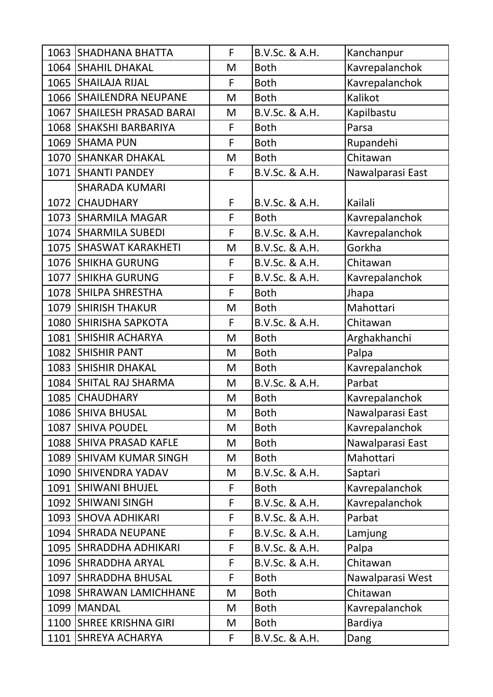| 1063 SHADHANA BHATTA       | F           | B.V.Sc. & A.H. | Kanchanpur       |
|----------------------------|-------------|----------------|------------------|
| 1064 SHAHIL DHAKAL         | M           | <b>Both</b>    | Kavrepalanchok   |
| 1065 SHAILAJA RIJAL        | F           | <b>Both</b>    | Kavrepalanchok   |
| 1066 SHAILENDRA NEUPANE    | M           | <b>Both</b>    | Kalikot          |
| 1067 SHAILESH PRASAD BARAI | M           | B.V.Sc. & A.H. | Kapilbastu       |
| 1068 SHAKSHI BARBARIYA     | F           | <b>Both</b>    | Parsa            |
| 1069 SHAMA PUN             | F           | <b>Both</b>    | Rupandehi        |
| 1070 SHANKAR DHAKAL        | M           | <b>Both</b>    | Chitawan         |
| 1071 SHANTI PANDEY         | F           | B.V.Sc. & A.H. | Nawalparasi East |
| <b>SHARADA KUMARI</b>      |             |                |                  |
| 1072 CHAUDHARY             | F           | B.V.Sc. & A.H. | Kailali          |
| 1073 SHARMILA MAGAR        | F           | <b>Both</b>    | Kavrepalanchok   |
| 1074 SHARMILA SUBEDI       | F           | B.V.Sc. & A.H. | Kavrepalanchok   |
| 1075 SHASWAT KARAKHETI     | M           | B.V.Sc. & A.H. | Gorkha           |
| 1076 SHIKHA GURUNG         | F           | B.V.Sc. & A.H. | Chitawan         |
| 1077 SHIKHA GURUNG         | F           | B.V.Sc. & A.H. | Kavrepalanchok   |
| 1078 SHILPA SHRESTHA       | F           | <b>Both</b>    | Jhapa            |
| 1079 SHIRISH THAKUR        | M           | <b>Both</b>    | Mahottari        |
| 1080 SHIRISHA SAPKOTA      | F           | B.V.Sc. & A.H. | Chitawan         |
| 1081 SHISHIR ACHARYA       | M           | <b>Both</b>    | Arghakhanchi     |
| 1082 SHISHIR PANT          | M           | <b>Both</b>    | Palpa            |
| 1083 SHISHIR DHAKAL        | M           | <b>Both</b>    | Kavrepalanchok   |
| 1084 SHITAL RAJ SHARMA     | M           | B.V.Sc. & A.H. | Parbat           |
| 1085 CHAUDHARY             | M           | <b>Both</b>    | Kavrepalanchok   |
| 1086 SHIVA BHUSAL          | M           | <b>Both</b>    | Nawalparasi East |
| 1087 SHIVA POUDEL          | M           | <b>Both</b>    | Kavrepalanchok   |
| 1088 SHIVA PRASAD KAFLE    | M           | <b>Both</b>    | Nawalparasi East |
| 1089 SHIVAM KUMAR SINGH    | M           | <b>Both</b>    | Mahottari        |
| 1090 SHIVENDRA YADAV       | M           | B.V.Sc. & A.H. | Saptari          |
| 1091 SHIWANI BHUJEL        | F           | <b>Both</b>    | Kavrepalanchok   |
| 1092 SHIWANI SINGH         | $\mathsf F$ | B.V.Sc. & A.H. | Kavrepalanchok   |
| 1093 SHOVA ADHIKARI        | F           | B.V.Sc. & A.H. | Parbat           |
| 1094 SHRADA NEUPANE        | F           | B.V.Sc. & A.H. | Lamjung          |
| 1095 SHRADDHA ADHIKARI     | F           | B.V.Sc. & A.H. | Palpa            |
| 1096 SHRADDHA ARYAL        | F           | B.V.Sc. & A.H. | Chitawan         |
| 1097 SHRADDHA BHUSAL       | F           | <b>Both</b>    | Nawalparasi West |
| 1098 SHRAWAN LAMICHHANE    | M           | <b>Both</b>    | Chitawan         |
| 1099   MANDAL              | M           | <b>Both</b>    | Kavrepalanchok   |
| 1100 SHREE KRISHNA GIRI    | M           | <b>Both</b>    | <b>Bardiya</b>   |
| 1101 SHREYA ACHARYA        | F           | B.V.Sc. & A.H. | Dang             |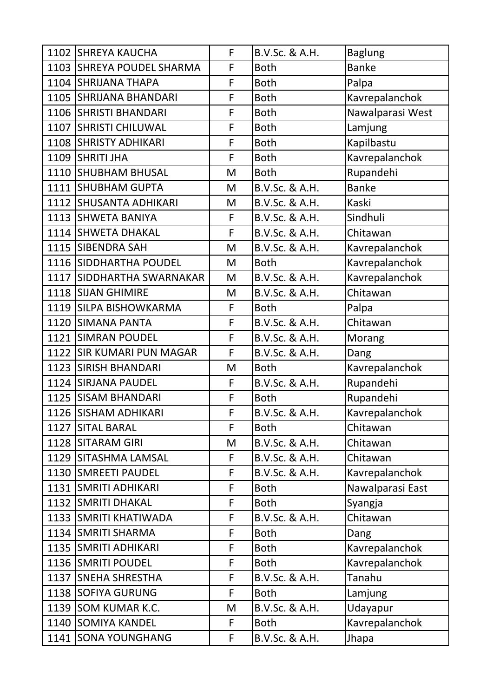| 1102 SHREYA KAUCHA        | F           | B.V.Sc. & A.H. | <b>Baglung</b>   |
|---------------------------|-------------|----------------|------------------|
| 1103 SHREYA POUDEL SHARMA | F           | <b>Both</b>    | <b>Banke</b>     |
| 1104 SHRIJANA THAPA       | F           | <b>Both</b>    | Palpa            |
| 1105 SHRIJANA BHANDARI    | F           | <b>Both</b>    | Kavrepalanchok   |
| 1106 SHRISTI BHANDARI     | F           | <b>Both</b>    | Nawalparasi West |
| 1107 SHRISTI CHILUWAL     | F           | <b>Both</b>    | Lamjung          |
| 1108 SHRISTY ADHIKARI     | F           | <b>Both</b>    | Kapilbastu       |
| 1109 SHRITI JHA           | F           | <b>Both</b>    | Kavrepalanchok   |
| 1110 SHUBHAM BHUSAL       | M           | <b>Both</b>    | Rupandehi        |
| 1111 SHUBHAM GUPTA        | M           | B.V.Sc. & A.H. | <b>Banke</b>     |
| 1112 SHUSANTA ADHIKARI    | M           | B.V.Sc. & A.H. | Kaski            |
| 1113 SHWETA BANIYA        | F           | B.V.Sc. & A.H. | Sindhuli         |
| 1114 SHWETA DHAKAL        | F           | B.V.Sc. & A.H. | Chitawan         |
| 1115 SIBENDRA SAH         | M           | B.V.Sc. & A.H. | Kavrepalanchok   |
| 1116 SIDDHARTHA POUDEL    | M           | <b>Both</b>    | Kavrepalanchok   |
| 1117 SIDDHARTHA SWARNAKAR | M           | B.V.Sc. & A.H. | Kavrepalanchok   |
| 1118 SIJAN GHIMIRE        | M           | B.V.Sc. & A.H. | Chitawan         |
| 1119 SILPA BISHOWKARMA    | F           | <b>Both</b>    | Palpa            |
| 1120 SIMANA PANTA         | F           | B.V.Sc. & A.H. | Chitawan         |
| 1121 SIMRAN POUDEL        | F           | B.V.Sc. & A.H. | Morang           |
| 1122 SIR KUMARI PUN MAGAR | F           | B.V.Sc. & A.H. | Dang             |
| 1123 SIRISH BHANDARI      | M           | <b>Both</b>    | Kavrepalanchok   |
| 1124 SIRJANA PAUDEL       | F           | B.V.Sc. & A.H. | Rupandehi        |
| 1125 SISAM BHANDARI       | F           | <b>Both</b>    | Rupandehi        |
| 1126 SISHAM ADHIKARI      | F           | B.V.Sc. & A.H. | Kavrepalanchok   |
| 1127 SITAL BARAL          | F           | <b>Both</b>    | Chitawan         |
| 1128 SITARAM GIRI         | M           | B.V.Sc. & A.H. | Chitawan         |
| 1129 SITASHMA LAMSAL      | F           | B.V.Sc. & A.H. | Chitawan         |
| 1130 SMREETI PAUDEL       | F           | B.V.Sc. & A.H. | Kavrepalanchok   |
| 1131 SMRITI ADHIKARI      | F           | <b>Both</b>    | Nawalparasi East |
| 1132 SMRITI DHAKAL        | $\mathsf F$ | <b>Both</b>    | Syangja          |
| 1133 SMRITI KHATIWADA     | F           | B.V.Sc. & A.H. | Chitawan         |
| 1134   SMRITI SHARMA      | F           | <b>Both</b>    | Dang             |
| 1135 SMRITI ADHIKARI      | F           | <b>Both</b>    | Kavrepalanchok   |
| 1136 SMRITI POUDEL        | F           | <b>Both</b>    | Kavrepalanchok   |
| 1137 SNEHA SHRESTHA       | F           | B.V.Sc. & A.H. | Tanahu           |
| 1138 SOFIYA GURUNG        | F           | <b>Both</b>    | Lamjung          |
| 1139 SOM KUMAR K.C.       | M           | B.V.Sc. & A.H. | Udayapur         |
|                           |             |                |                  |
| 1140 SOMIYA KANDEL        | F           | <b>Both</b>    | Kavrepalanchok   |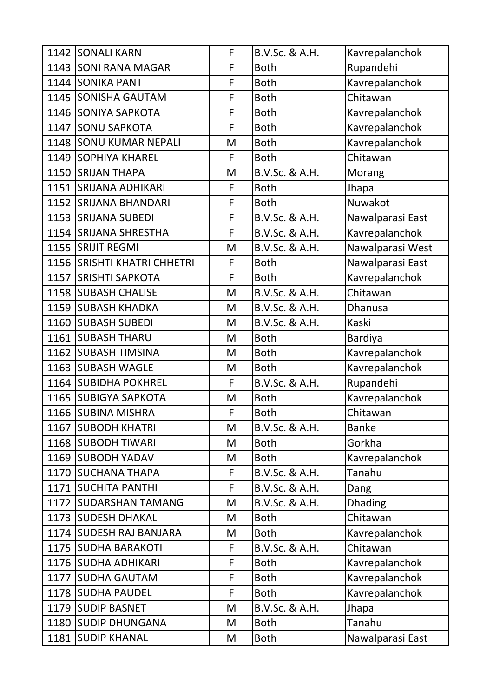|      | 1142 SONALI KARN            | F | B.V.Sc. & A.H. | Kavrepalanchok   |
|------|-----------------------------|---|----------------|------------------|
|      | 1143 SONI RANA MAGAR        | F | <b>Both</b>    | Rupandehi        |
|      | 1144 SONIKA PANT            | F | <b>Both</b>    | Kavrepalanchok   |
|      | 1145 SONISHA GAUTAM         | F | <b>Both</b>    | Chitawan         |
|      | 1146 SONIYA SAPKOTA         | F | <b>Both</b>    | Kavrepalanchok   |
|      | 1147 SONU SAPKOTA           | F | <b>Both</b>    | Kavrepalanchok   |
|      | 1148 SONU KUMAR NEPALI      | M | <b>Both</b>    | Kavrepalanchok   |
|      | 1149 SOPHIYA KHAREL         | F | <b>Both</b>    | Chitawan         |
|      | 1150 SRIJAN THAPA           | M | B.V.Sc. & A.H. | Morang           |
|      | 1151 SRIJANA ADHIKARI       | F | <b>Both</b>    | Jhapa            |
|      | 1152 SRIJANA BHANDARI       | F | <b>Both</b>    | Nuwakot          |
|      | 1153 SRIJANA SUBEDI         | F | B.V.Sc. & A.H. | Nawalparasi East |
|      | 1154 SRIJANA SHRESTHA       | F | B.V.Sc. & A.H. | Kavrepalanchok   |
|      | 1155 SRIJIT REGMI           | M | B.V.Sc. & A.H. | Nawalparasi West |
|      | 1156 SRISHTI KHATRI CHHETRI | F | <b>Both</b>    | Nawalparasi East |
|      | 1157 SRISHTI SAPKOTA        | F | <b>Both</b>    | Kavrepalanchok   |
|      | 1158 SUBASH CHALISE         | M | B.V.Sc. & A.H. | Chitawan         |
|      | 1159 SUBASH KHADKA          | M | B.V.Sc. & A.H. | Dhanusa          |
|      | 1160 SUBASH SUBEDI          | M | B.V.Sc. & A.H. | Kaski            |
|      | 1161 SUBASH THARU           | M | <b>Both</b>    | <b>Bardiya</b>   |
| 1162 | <b>SUBASH TIMSINA</b>       | M | <b>Both</b>    | Kavrepalanchok   |
|      | 1163 SUBASH WAGLE           | M | <b>Both</b>    | Kavrepalanchok   |
|      | 1164 SUBIDHA POKHREL        | F | B.V.Sc. & A.H. | Rupandehi        |
|      | 1165 SUBIGYA SAPKOTA        | M | <b>Both</b>    | Kavrepalanchok   |
|      | 1166 SUBINA MISHRA          | F | <b>Both</b>    | Chitawan         |
|      | 1167 SUBODH KHATRI          | M | B.V.Sc. & A.H. | <b>Banke</b>     |
|      | 1168   SUBODH TIWARI        | M | <b>Both</b>    | Gorkha           |
|      | 1169 SUBODH YADAV           | M | <b>Both</b>    | Kavrepalanchok   |
|      | 1170 SUCHANA THAPA          | F | B.V.Sc. & A.H. | Tanahu           |
|      | 1171 SUCHITA PANTHI         | F | B.V.Sc. & A.H. | Dang             |
|      | 1172 SUDARSHAN TAMANG       | M | B.V.Sc. & A.H. | <b>Dhading</b>   |
|      | 1173 SUDESH DHAKAL          | M | <b>Both</b>    | Chitawan         |
|      | 1174   SUDESH RAJ BANJARA   | M | <b>Both</b>    | Kavrepalanchok   |
|      | 1175 SUDHA BARAKOTI         | F | B.V.Sc. & A.H. | Chitawan         |
|      | 1176 SUDHA ADHIKARI         | F | <b>Both</b>    | Kavrepalanchok   |
|      | 1177 SUDHA GAUTAM           | F | <b>Both</b>    | Kavrepalanchok   |
|      | 1178 SUDHA PAUDEL           | F | <b>Both</b>    | Kavrepalanchok   |
|      | 1179 SUDIP BASNET           | M | B.V.Sc. & A.H. | Jhapa            |
|      | 1180 SUDIP DHUNGANA         | M | <b>Both</b>    | Tanahu           |
|      | 1181 SUDIP KHANAL           | M | <b>Both</b>    | Nawalparasi East |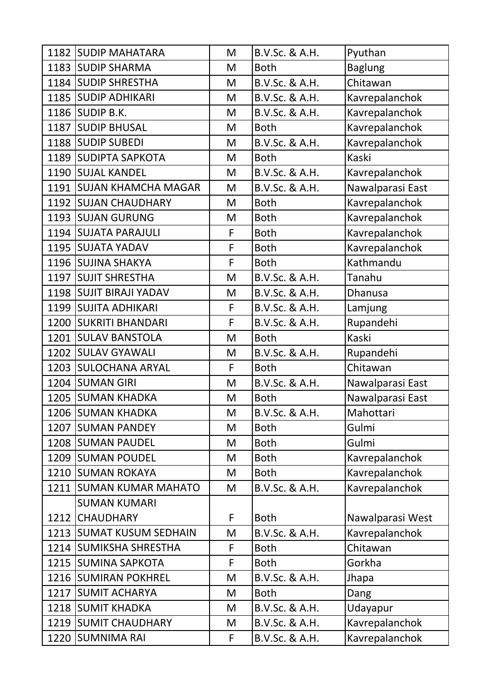| 1182 SUDIP MAHATARA      | M | B.V.Sc. & A.H. | Pyuthan          |
|--------------------------|---|----------------|------------------|
| 1183 SUDIP SHARMA        | M | <b>Both</b>    | <b>Baglung</b>   |
| 1184 SUDIP SHRESTHA      | M | B.V.Sc. & A.H. | Chitawan         |
| 1185 SUDIP ADHIKARI      | M | B.V.Sc. & A.H. | Kavrepalanchok   |
| 1186 SUDIP B.K.          | M | B.V.Sc. & A.H. | Kavrepalanchok   |
| 1187 SUDIP BHUSAL        | M | <b>Both</b>    | Kavrepalanchok   |
| 1188 SUDIP SUBEDI        | M | B.V.Sc. & A.H. | Kavrepalanchok   |
| 1189 SUDIPTA SAPKOTA     | M | <b>Both</b>    | Kaski            |
| 1190 SUJAL KANDEL        | M | B.V.Sc. & A.H. | Kavrepalanchok   |
| 1191 SUJAN KHAMCHA MAGAR | M | B.V.Sc. & A.H. | Nawalparasi East |
| 1192 SUJAN CHAUDHARY     | M | <b>Both</b>    | Kavrepalanchok   |
| 1193 SUJAN GURUNG        | M | <b>Both</b>    | Kavrepalanchok   |
| 1194 SUJATA PARAJULI     | F | <b>Both</b>    | Kavrepalanchok   |
| 1195 SUJATA YADAV        | F | <b>Both</b>    | Kavrepalanchok   |
| 1196 SUJINA SHAKYA       | F | <b>Both</b>    | Kathmandu        |
| 1197 SUJIT SHRESTHA      | M | B.V.Sc. & A.H. | Tanahu           |
| 1198 SUJIT BIRAJI YADAV  | M | B.V.Sc. & A.H. | <b>Dhanusa</b>   |
| 1199 SUJITA ADHIKARI     | F | B.V.Sc. & A.H. | Lamjung          |
| 1200 SUKRITI BHANDARI    | F | B.V.Sc. & A.H. | Rupandehi        |
| 1201 SULAV BANSTOLA      | M | <b>Both</b>    | Kaski            |
| 1202 SULAV GYAWALI       | M | B.V.Sc. & A.H. | Rupandehi        |
| 1203 SULOCHANA ARYAL     | F | <b>Both</b>    | Chitawan         |
| 1204 SUMAN GIRI          | M | B.V.Sc. & A.H. | Nawalparasi East |
| 1205 SUMAN KHADKA        | M | <b>Both</b>    | Nawalparasi East |
| 1206 SUMAN KHADKA        | M | B.V.Sc. & A.H. | Mahottari        |
| 1207 SUMAN PANDEY        | M | <b>Both</b>    | Gulmi            |
| 1208 SUMAN PAUDEL        | M | <b>Both</b>    | Gulmi            |
| 1209 SUMAN POUDEL        | M | <b>Both</b>    | Kavrepalanchok   |
| 1210 SUMAN ROKAYA        | M | <b>Both</b>    | Kavrepalanchok   |
| 1211 SUMAN KUMAR MAHATO  | M | B.V.Sc. & A.H. | Kavrepalanchok   |
| <b>SUMAN KUMARI</b>      |   |                |                  |
| 1212 CHAUDHARY           | F | <b>Both</b>    | Nawalparasi West |
| 1213 SUMAT KUSUM SEDHAIN | M | B.V.Sc. & A.H. | Kavrepalanchok   |
| 1214 SUMIKSHA SHRESTHA   | F | <b>Both</b>    | Chitawan         |
| 1215 SUMINA SAPKOTA      | F | <b>Both</b>    | Gorkha           |
| 1216 SUMIRAN POKHREL     | M | B.V.Sc. & A.H. | Jhapa            |
| 1217 SUMIT ACHARYA       | M | <b>Both</b>    | Dang             |
| 1218 SUMIT KHADKA        | M | B.V.Sc. & A.H. | Udayapur         |
| 1219   SUMIT CHAUDHARY   | M | B.V.Sc. & A.H. | Kavrepalanchok   |
| 1220   SUMNIMA RAI       | F | B.V.Sc. & A.H. | Kavrepalanchok   |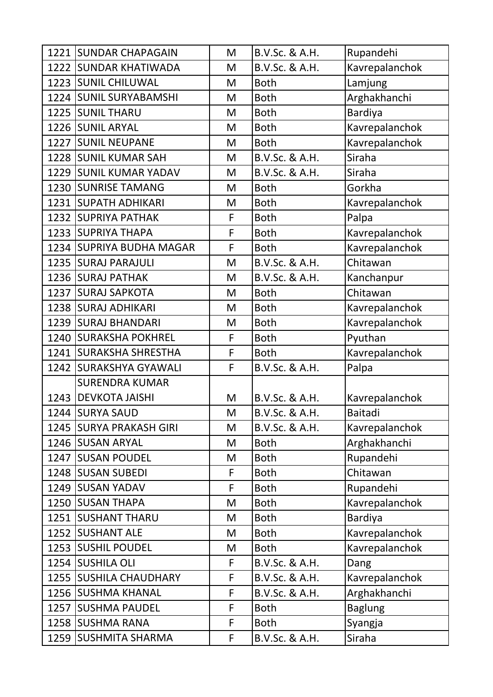|      | 1221 SUNDAR CHAPAGAIN    | M           | B.V.Sc. & A.H. | Rupandehi      |
|------|--------------------------|-------------|----------------|----------------|
| 1222 | <b>SUNDAR KHATIWADA</b>  | M           | B.V.Sc. & A.H. | Kavrepalanchok |
|      | 1223 SUNIL CHILUWAL      | M           | <b>Both</b>    | Lamjung        |
|      | 1224 SUNIL SURYABAMSHI   | M           | <b>Both</b>    | Arghakhanchi   |
|      | 1225 SUNIL THARU         | M           | <b>Both</b>    | <b>Bardiya</b> |
|      | 1226 SUNIL ARYAL         | M           | <b>Both</b>    | Kavrepalanchok |
|      | 1227 SUNIL NEUPANE       | M           | <b>Both</b>    | Kavrepalanchok |
|      | 1228 SUNIL KUMAR SAH     | M           | B.V.Sc. & A.H. | Siraha         |
|      | 1229 SUNIL KUMAR YADAV   | M           | B.V.Sc. & A.H. | Siraha         |
|      | 1230 SUNRISE TAMANG      | M           | <b>Both</b>    | Gorkha         |
|      | 1231 SUPATH ADHIKARI     | M           | <b>Both</b>    | Kavrepalanchok |
|      | 1232 SUPRIYA PATHAK      | F           | <b>Both</b>    | Palpa          |
|      | 1233 SUPRIYA THAPA       | F           | <b>Both</b>    | Kavrepalanchok |
|      | 1234 SUPRIYA BUDHA MAGAR | F           | <b>Both</b>    | Kavrepalanchok |
|      | 1235 SURAJ PARAJULI      | M           | B.V.Sc. & A.H. | Chitawan       |
|      | 1236 SURAJ PATHAK        | M           | B.V.Sc. & A.H. | Kanchanpur     |
|      | 1237 SURAJ SAPKOTA       | M           | <b>Both</b>    | Chitawan       |
|      | 1238 SURAJ ADHIKARI      | M           | <b>Both</b>    | Kavrepalanchok |
| 1239 | <b>SURAJ BHANDARI</b>    | M           | <b>Both</b>    | Kavrepalanchok |
|      | 1240 SURAKSHA POKHREL    | F           | <b>Both</b>    | Pyuthan        |
| 1241 | <b>SURAKSHA SHRESTHA</b> | F           | <b>Both</b>    | Kavrepalanchok |
| 1242 | <b>SURAKSHYA GYAWALI</b> | F           | B.V.Sc. & A.H. | Palpa          |
|      | <b>SURENDRA KUMAR</b>    |             |                |                |
|      | 1243   DEVKOTA JAISHI    | M           | B.V.Sc. & A.H. | Kavrepalanchok |
|      | 1244 SURYA SAUD          | M           | B.V.Sc. & A.H. | <b>Baitadi</b> |
|      | 1245 SURYA PRAKASH GIRI  | M           | B.V.Sc. & A.H. | Kavrepalanchok |
|      | 1246 SUSAN ARYAL         | M           | <b>Both</b>    | Arghakhanchi   |
| 1247 | <b>SUSAN POUDEL</b>      | M           | <b>Both</b>    | Rupandehi      |
|      | 1248 SUSAN SUBEDI        | $\mathsf F$ | <b>Both</b>    | Chitawan       |
|      | 1249 SUSAN YADAV         | F           | <b>Both</b>    | Rupandehi      |
|      | 1250 SUSAN THAPA         | M           | <b>Both</b>    | Kavrepalanchok |
|      | 1251 SUSHANT THARU       | M           | <b>Both</b>    | <b>Bardiya</b> |
|      | 1252 SUSHANT ALE         | M           | <b>Both</b>    | Kavrepalanchok |
|      | 1253 SUSHIL POUDEL       | M           | <b>Both</b>    | Kavrepalanchok |
|      | 1254 SUSHILA OLI         | F           | B.V.Sc. & A.H. | Dang           |
|      | 1255 SUSHILA CHAUDHARY   | F           | B.V.Sc. & A.H. | Kavrepalanchok |
|      | 1256 SUSHMA KHANAL       | F           | B.V.Sc. & A.H. | Arghakhanchi   |
|      | 1257 SUSHMA PAUDEL       | F           | <b>Both</b>    | <b>Baglung</b> |
|      | 1258 SUSHMA RANA         | $\mathsf F$ | <b>Both</b>    | Syangja        |
| 1259 | <b>SUSHMITA SHARMA</b>   | F           | B.V.Sc. & A.H. | Siraha         |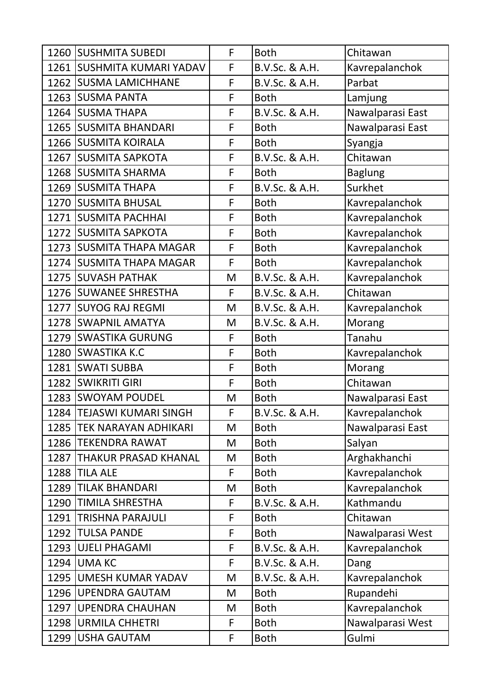|      | 1260 SUSHMITA SUBEDI        | F | <b>Both</b>    | Chitawan         |
|------|-----------------------------|---|----------------|------------------|
|      | 1261 SUSHMITA KUMARI YADAV  | F | B.V.Sc. & A.H. | Kavrepalanchok   |
|      | 1262 SUSMA LAMICHHANE       | F | B.V.Sc. & A.H. | Parbat           |
|      | 1263 SUSMA PANTA            | F | <b>Both</b>    | Lamjung          |
|      | 1264 SUSMA THAPA            | F | B.V.Sc. & A.H. | Nawalparasi East |
|      | 1265 SUSMITA BHANDARI       | F | <b>Both</b>    | Nawalparasi East |
|      | 1266 SUSMITA KOIRALA        | F | <b>Both</b>    | Syangja          |
|      | 1267 SUSMITA SAPKOTA        | F | B.V.Sc. & A.H. | Chitawan         |
|      | 1268 SUSMITA SHARMA         | F | <b>Both</b>    | <b>Baglung</b>   |
|      | 1269 SUSMITA THAPA          | F | B.V.Sc. & A.H. | Surkhet          |
|      | 1270 SUSMITA BHUSAL         | F | <b>Both</b>    | Kavrepalanchok   |
|      | 1271 SUSMITA PACHHAI        | F | <b>Both</b>    | Kavrepalanchok   |
|      | 1272 SUSMITA SAPKOTA        | F | <b>Both</b>    | Kavrepalanchok   |
|      | 1273 SUSMITA THAPA MAGAR    | F | <b>Both</b>    | Kavrepalanchok   |
|      | 1274 SUSMITA THAPA MAGAR    | F | <b>Both</b>    | Kavrepalanchok   |
|      | 1275 SUVASH PATHAK          | M | B.V.Sc. & A.H. | Kavrepalanchok   |
|      | 1276 SUWANEE SHRESTHA       | F | B.V.Sc. & A.H. | Chitawan         |
|      | 1277 SUYOG RAJ REGMI        | M | B.V.Sc. & A.H. | Kavrepalanchok   |
|      | 1278 SWAPNIL AMATYA         | M | B.V.Sc. & A.H. | Morang           |
|      | 1279 SWASTIKA GURUNG        | F | <b>Both</b>    | Tanahu           |
|      | 1280 SWASTIKA K.C           | F | <b>Both</b>    | Kavrepalanchok   |
|      | 1281 SWATI SUBBA            | F | <b>Both</b>    | Morang           |
|      | 1282   SWIKRITI GIRI        | F | <b>Both</b>    | Chitawan         |
|      | 1283 SWOYAM POUDEL          | M | <b>Both</b>    | Nawalparasi East |
|      | 1284   TEJASWI KUMARI SINGH | F | B.V.Sc. & A.H. | Kavrepalanchok   |
|      | 1285 TEK NARAYAN ADHIKARI   | M | <b>Both</b>    | Nawalparasi East |
|      | 1286   TEKENDRA RAWAT       | M | <b>Both</b>    | Salyan           |
| 1287 | <b>THAKUR PRASAD KHANAL</b> | M | <b>Both</b>    | Arghakhanchi     |
|      | 1288 TILA ALE               | F | <b>Both</b>    | Kavrepalanchok   |
|      | 1289   TILAK BHANDARI       | M | <b>Both</b>    | Kavrepalanchok   |
|      | 1290   TIMILA SHRESTHA      | F | B.V.Sc. & A.H. | Kathmandu        |
|      | 1291 TRISHNA PARAJULI       | F | <b>Both</b>    | Chitawan         |
|      | 1292  TULSA PANDE           | F | <b>Both</b>    | Nawalparasi West |
|      | 1293 UJELI PHAGAMI          | F | B.V.Sc. & A.H. | Kavrepalanchok   |
|      | 1294 UMA KC                 | F | B.V.Sc. & A.H. | Dang             |
| 1295 | <b>UMESH KUMAR YADAV</b>    | M | B.V.Sc. & A.H. | Kavrepalanchok   |
|      | 1296 UPENDRA GAUTAM         | M | <b>Both</b>    | Rupandehi        |
|      | 1297 JUPENDRA CHAUHAN       | M | <b>Both</b>    | Kavrepalanchok   |
|      | 1298   URMILA CHHETRI       | F | <b>Both</b>    | Nawalparasi West |
| 1299 | <b>USHA GAUTAM</b>          | F | <b>Both</b>    | Gulmi            |